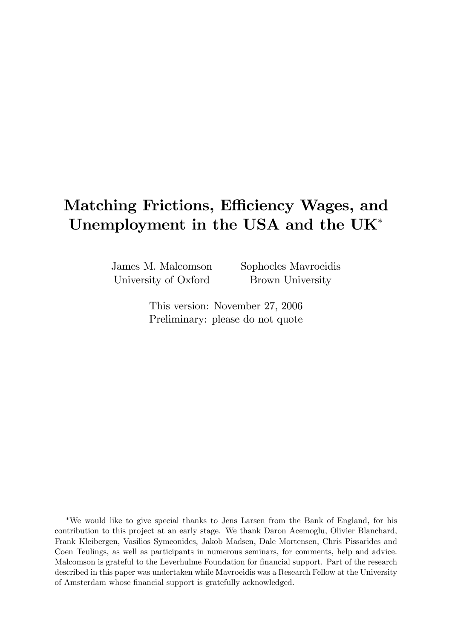# Matching Frictions, Efficiency Wages, and Unemployment in the USA and the UK

James M. Malcomson University of Oxford

Sophocles Mavroeidis Brown University

This version: November 27, 2006 Preliminary: please do not quote

We would like to give special thanks to Jens Larsen from the Bank of England, for his contribution to this project at an early stage. We thank Daron Acemoglu, Olivier Blanchard, Frank Kleibergen, Vasilios Symeonides, Jakob Madsen, Dale Mortensen, Chris Pissarides and Coen Teulings, as well as participants in numerous seminars, for comments, help and advice. Malcomson is grateful to the Leverhulme Foundation for financial support. Part of the research described in this paper was undertaken while Mavroeidis was a Research Fellow at the University of Amsterdam whose financial support is gratefully acknowledged.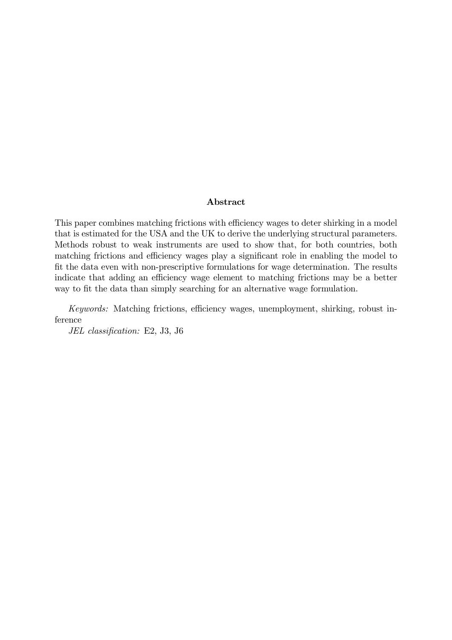#### Abstract

This paper combines matching frictions with efficiency wages to deter shirking in a model that is estimated for the USA and the UK to derive the underlying structural parameters. Methods robust to weak instruments are used to show that, for both countries, both matching frictions and efficiency wages play a significant role in enabling the model to fit the data even with non-prescriptive formulations for wage determination. The results indicate that adding an efficiency wage element to matching frictions may be a better way to fit the data than simply searching for an alternative wage formulation.

Keywords: Matching frictions, efficiency wages, unemployment, shirking, robust inference

JEL classification: E2, J3, J6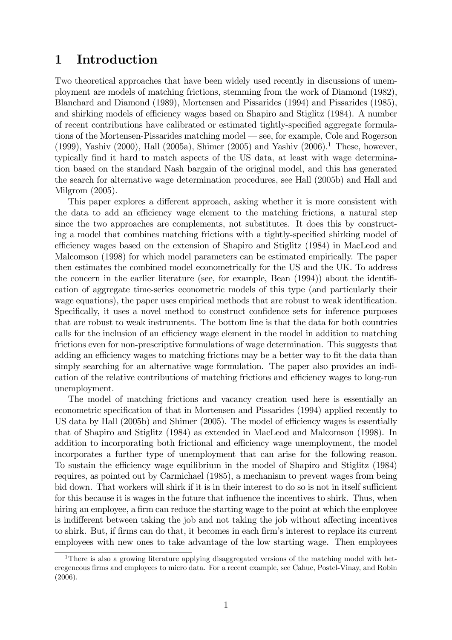### 1 Introduction

Two theoretical approaches that have been widely used recently in discussions of unemployment are models of matching frictions, stemming from the work of Diamond (1982), Blanchard and Diamond (1989), Mortensen and Pissarides (1994) and Pissarides (1985), and shirking models of efficiency wages based on Shapiro and Stiglitz (1984). A number of recent contributions have calibrated or estimated tightly-specified aggregate formulations of the Mortensen-Pissarides matching model – see, for example, Cole and Rogerson (1999), Yashiv (2000), Hall (2005a), Shimer (2005) and Yashiv (2006).<sup>1</sup> These, however, typically find it hard to match aspects of the US data, at least with wage determination based on the standard Nash bargain of the original model, and this has generated the search for alternative wage determination procedures, see Hall (2005b) and Hall and Milgrom (2005).

This paper explores a different approach, asking whether it is more consistent with the data to add an efficiency wage element to the matching frictions, a natural step since the two approaches are complements, not substitutes. It does this by constructing a model that combines matching frictions with a tightly-specified shirking model of efficiency wages based on the extension of Shapiro and Stiglitz (1984) in MacLeod and Malcomson (1998) for which model parameters can be estimated empirically. The paper then estimates the combined model econometrically for the US and the UK. To address the concern in the earlier literature (see, for example, Bean  $(1994)$ ) about the identification of aggregate time-series econometric models of this type (and particularly their wage equations), the paper uses empirical methods that are robust to weak identification. Specifically, it uses a novel method to construct confidence sets for inference purposes that are robust to weak instruments. The bottom line is that the data for both countries calls for the inclusion of an efficiency wage element in the model in addition to matching frictions even for non-prescriptive formulations of wage determination. This suggests that adding an efficiency wages to matching frictions may be a better way to fit the data than simply searching for an alternative wage formulation. The paper also provides an indication of the relative contributions of matching frictions and efficiency wages to long-run unemployment.

The model of matching frictions and vacancy creation used here is essentially an econometric specification of that in Mortensen and Pissarides (1994) applied recently to US data by Hall  $(2005b)$  and Shimer  $(2005)$ . The model of efficiency wages is essentially that of Shapiro and Stiglitz (1984) as extended in MacLeod and Malcomson (1998). In addition to incorporating both frictional and efficiency wage unemployment, the model incorporates a further type of unemployment that can arise for the following reason. To sustain the efficiency wage equilibrium in the model of Shapiro and Stiglitz (1984) requires, as pointed out by Carmichael (1985), a mechanism to prevent wages from being bid down. That workers will shirk if it is in their interest to do so is not in itself sufficient for this because it is wages in the future that influence the incentives to shirk. Thus, when hiring an employee, a firm can reduce the starting wage to the point at which the employee is indifferent between taking the job and not taking the job without affecting incentives to shirk. But, if firms can do that, it becomes in each firm's interest to replace its current employees with new ones to take advantage of the low starting wage. Then employees

<sup>&</sup>lt;sup>1</sup>There is also a growing literature applying disaggregated versions of the matching model with heteregeneous firms and employees to micro data. For a recent example, see Cahuc, Postel-Vinay, and Robin (2006).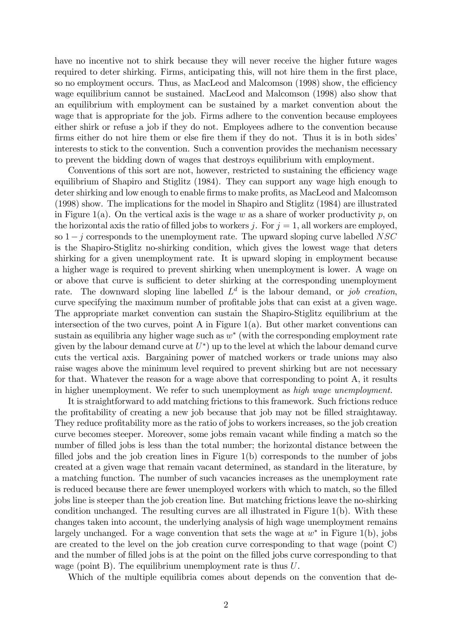have no incentive not to shirk because they will never receive the higher future wages required to deter shirking. Firms, anticipating this, will not hire them in the first place, so no employment occurs. Thus, as MacLeod and Malcomson (1998) show, the efficiency wage equilibrium cannot be sustained. MacLeod and Malcomson (1998) also show that an equilibrium with employment can be sustained by a market convention about the wage that is appropriate for the job. Firms adhere to the convention because employees either shirk or refuse a job if they do not. Employees adhere to the convention because firms either do not hire them or else fire them if they do not. Thus it is in both sides interests to stick to the convention. Such a convention provides the mechanism necessary to prevent the bidding down of wages that destroys equilibrium with employment.

Conventions of this sort are not, however, restricted to sustaining the efficiency wage equilibrium of Shapiro and Stiglitz (1984). They can support any wage high enough to deter shirking and low enough to enable firms to make profits, as MacLeod and Malcomson (1998) show. The implications for the model in Shapiro and Stiglitz (1984) are illustrated in Figure 1(a). On the vertical axis is the wage w as a share of worker productivity p, on the horizontal axis the ratio of filled jobs to workers j. For  $j = 1$ , all workers are employed, so  $1-i$  corresponds to the unemployment rate. The upward sloping curve labelled NSC is the Shapiro-Stiglitz no-shirking condition, which gives the lowest wage that deters shirking for a given unemployment rate. It is upward sloping in employment because a higher wage is required to prevent shirking when unemployment is lower. A wage on or above that curve is sufficient to deter shirking at the corresponding unemployment rate. The downward sloping line labelled  $L<sup>d</sup>$  is the labour demand, or job creation, curve specifying the maximum number of profitable jobs that can exist at a given wage. The appropriate market convention can sustain the Shapiro-Stiglitz equilibrium at the intersection of the two curves, point A in Figure  $1(a)$ . But other market conventions can sustain as equilibria any higher wage such as  $w^*$  (with the corresponding employment rate given by the labour demand curve at  $U^*$  up to the level at which the labour demand curve cuts the vertical axis. Bargaining power of matched workers or trade unions may also raise wages above the minimum level required to prevent shirking but are not necessary for that. Whatever the reason for a wage above that corresponding to point A, it results in higher unemployment. We refer to such unemployment as high wage unemployment.

It is straightforward to add matching frictions to this framework. Such frictions reduce the profitability of creating a new job because that job may not be filled straightaway. They reduce profitability more as the ratio of jobs to workers increases, so the job creation curve becomes steeper. Moreover, some jobs remain vacant while Önding a match so the number of filled jobs is less than the total number; the horizontal distance between the filled jobs and the job creation lines in Figure  $1(b)$  corresponds to the number of jobs created at a given wage that remain vacant determined, as standard in the literature, by a matching function. The number of such vacancies increases as the unemployment rate is reduced because there are fewer unemployed workers with which to match, so the Ölled jobs line is steeper than the job creation line. But matching frictions leave the no-shirking condition unchanged. The resulting curves are all illustrated in Figure 1(b). With these changes taken into account, the underlying analysis of high wage unemployment remains largely unchanged. For a wage convention that sets the wage at  $w^*$  in Figure 1(b), jobs are created to the level on the job creation curve corresponding to that wage (point C) and the number of filled jobs is at the point on the filled jobs curve corresponding to that wage (point B). The equilibrium unemployment rate is thus U.

Which of the multiple equilibria comes about depends on the convention that de-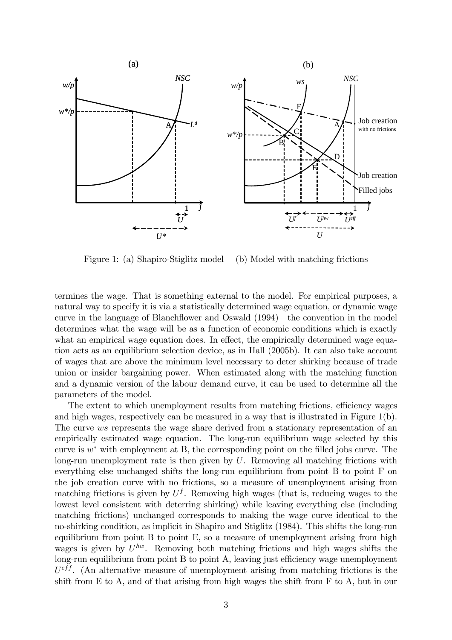

Figure 1: (a) Shapiro-Stiglitz model (b) Model with matching frictions

termines the wage. That is something external to the model. For empirical purposes, a natural way to specify it is via a statistically determined wage equation, or dynamic wage curve in the language of Blanchflower and Oswald (1994)—the convention in the model determines what the wage will be as a function of economic conditions which is exactly what an empirical wage equation does. In effect, the empirically determined wage equation acts as an equilibrium selection device, as in Hall (2005b). It can also take account of wages that are above the minimum level necessary to deter shirking because of trade union or insider bargaining power. When estimated along with the matching function and a dynamic version of the labour demand curve, it can be used to determine all the parameters of the model.

The extent to which unemployment results from matching frictions, efficiency wages and high wages, respectively can be measured in a way that is illustrated in Figure 1(b). The curve ws represents the wage share derived from a stationary representation of an empirically estimated wage equation. The long-run equilibrium wage selected by this curve is  $w^*$  with employment at B, the corresponding point on the filled jobs curve. The long-run unemployment rate is then given by  $U$ . Removing all matching frictions with everything else unchanged shifts the long-run equilibrium from point B to point F on the job creation curve with no frictions, so a measure of unemployment arising from matching frictions is given by  $U<sup>f</sup>$ . Removing high wages (that is, reducing wages to the lowest level consistent with deterring shirking) while leaving everything else (including matching frictions) unchanged corresponds to making the wage curve identical to the no-shirking condition, as implicit in Shapiro and Stiglitz (1984). This shifts the long-run equilibrium from point B to point E, so a measure of unemployment arising from high wages is given by  $U^{hw}$ . Removing both matching frictions and high wages shifts the long-run equilibrium from point  $B$  to point  $A$ , leaving just efficiency wage unemployment  $U<sup>eff</sup>$ . (An alternative measure of unemployment arising from matching frictions is the shift from E to A, and of that arising from high wages the shift from F to A, but in our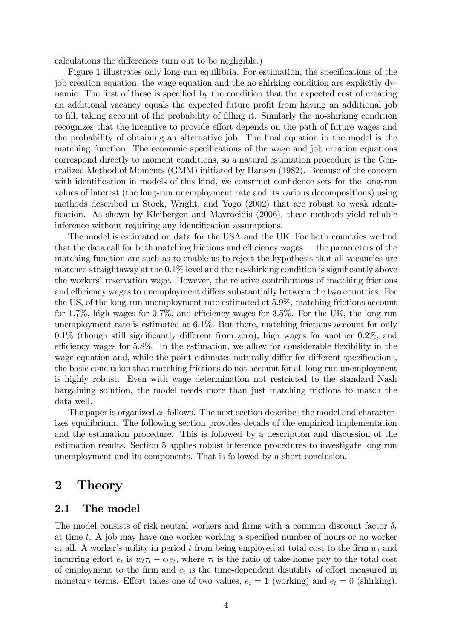calculations the differences turn out to be negligible.)

Figure 1 illustrates only long-run equilibria. For estimation, the specifications of the job creation equation, the wage equation and the no-shirking condition are explicitly dynamic. The first of these is specified by the condition that the expected cost of creating an additional vacancy equals the expected future profit from having an additional job to fill, taking account of the probability of filling it. Similarly the no-shirking condition recognizes that the incentive to provide effort depends on the path of future wages and the probability of obtaining an alternative job. The final equation in the model is the matching function. The economic specifications of the wage and job creation equations correspond directly to moment conditions, so a natural estimation procedure is the Generalized Method of Moments (GMM) initiated by Hansen (1982). Because of the concern with identification in models of this kind, we construct confidence sets for the long-run values of interest (the long-run unemployment rate and its various decompositions) using methods described in Stock, Wright, and Yogo (2002) that are robust to weak identification. As shown by Kleibergen and Mavroeidis (2006), these methods yield reliable inference without requiring any identification assumptions.

The model is estimated on data for the USA and the UK. For both countries we find that the data call for both matching frictions and efficiency wages  $-$  the parameters of the matching function are such as to enable us to reject the hypothesis that all vacancies are matched straightaway at the  $0.1\%$  level and the no-shirking condition is significantly above the workers' reservation wage. However, the relative contributions of matching frictions and efficiency wages to unemployment differs substantially between the two countries. For the US, of the long-run unemployment rate estimated at 5.9%, matching frictions account for 1.7%, high wages for  $0.7\%$ , and efficiency wages for 3.5%. For the UK, the long-run unemployment rate is estimated at 6.1%. But there, matching frictions account for only  $0.1\%$  (though still significantly different from zero), high wages for another  $0.2\%$ , and efficiency wages for  $5.8\%$ . In the estimation, we allow for considerable flexibility in the wage equation and, while the point estimates naturally differ for different specifications, the basic conclusion that matching frictions do not account for all long-run unemployment is highly robust. Even with wage determination not restricted to the standard Nash bargaining solution, the model needs more than just matching frictions to match the data well.

The paper is organized as follows. The next section describes the model and characterizes equilibrium. The following section provides details of the empirical implementation and the estimation procedure. This is followed by a description and discussion of the estimation results. Section 5 applies robust inference procedures to investigate long-run unemployment and its components. That is followed by a short conclusion.

### 2 Theory

#### 2.1 The model

The model consists of risk-neutral workers and firms with a common discount factor  $\delta_t$ at time t. A job may have one worker working a specified number of hours or no worker at all. A worker's utility in period t from being employed at total cost to the firm  $w_t$  and incurring effort  $e_t$  is  $w_t \tau_t - c_t e_t$ , where  $\tau_t$  is the ratio of take-home pay to the total cost of employment to the firm and  $c_t$  is the time-dependent disutility of effort measured in monetary terms. Effort takes one of two values,  $e_t = 1$  (working) and  $e_t = 0$  (shirking).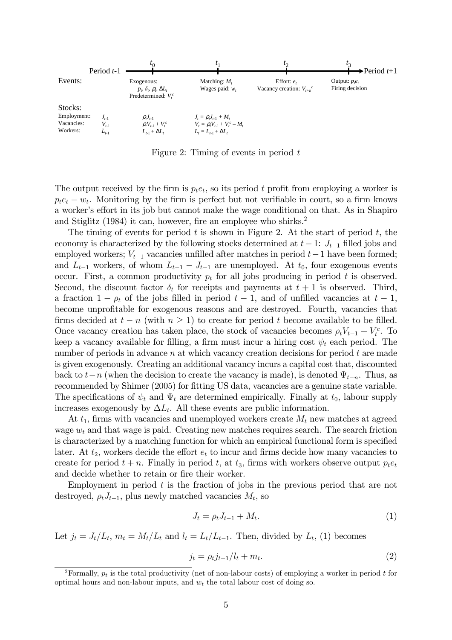

Figure 2: Timing of events in period  $t$ 

The output received by the firm is  $p_t e_t$ , so its period t profit from employing a worker is  $p_t e_t - w_t$ . Monitoring by the firm is perfect but not verifiable in court, so a firm knows a worker's effort in its job but cannot make the wage conditional on that. As in Shapiro and Stiglitz  $(1984)$  it can, however, fire an employee who shirks.<sup>2</sup>

The timing of events for period  $t$  is shown in Figure 2. At the start of period  $t$ , the economy is characterized by the following stocks determined at  $t-1$ :  $J_{t-1}$  filled jobs and employed workers;  $V_{t-1}$  vacancies unfilled after matches in period  $t-1$  have been formed; and  $L_{t-1}$  workers, of whom  $L_{t-1} - J_{t-1}$  are unemployed. At  $t_0$ , four exogenous events occur. First, a common productivity  $p_t$  for all jobs producing in period t is observed. Second, the discount factor  $\delta_t$  for receipts and payments at  $t + 1$  is observed. Third, a fraction  $1 - \rho_t$  of the jobs filled in period  $t - 1$ , and of unfilled vacancies at  $t - 1$ , become unprofitable for exogenous reasons and are destroyed. Fourth, vacancies that firms decided at  $t - n$  (with  $n \ge 1$ ) to create for period t become available to be filled. Once vacancy creation has taken place, the stock of vacancies becomes  $\rho_t V_{t-1} + V_t^c$ . To keep a vacancy available for filling, a firm must incur a hiring cost  $\psi_t$  each period. The number of periods in advance n at which vacancy creation decisions for period  $t$  are made is given exogenously. Creating an additional vacancy incurs a capital cost that, discounted back to  $t-n$  (when the decision to create the vacancy is made), is denoted  $\Psi_{t-n}$ . Thus, as recommended by Shimer (2005) for fitting US data, vacancies are a genuine state variable. The specifications of  $\psi_t$  and  $\Psi_t$  are determined empirically. Finally at  $t_0$ , labour supply increases exogenously by  $\Delta L_t$ . All these events are public information.

At  $t_1$ , firms with vacancies and unemployed workers create  $M_t$  new matches at agreed wage  $w_t$  and that wage is paid. Creating new matches requires search. The search friction is characterized by a matching function for which an empirical functional form is specified later. At  $t_2$ , workers decide the effort  $e_t$  to incur and firms decide how many vacancies to create for period  $t + n$ . Finally in period t, at  $t_3$ , firms with workers observe output  $p_t e_t$ and decide whether to retain or fire their worker.

Employment in period  $t$  is the fraction of jobs in the previous period that are not destroyed,  $\rho_t J_{t-1}$ , plus newly matched vacancies  $M_t$ , so

$$
J_t = \rho_t J_{t-1} + M_t. \tag{1}
$$

Let  $j_t = J_t/L_t$ ,  $m_t = M_t/L_t$  and  $l_t = L_t/L_{t-1}$ . Then, divided by  $L_t$ , (1) becomes

$$
j_t = \rho_t j_{t-1}/l_t + m_t. \tag{2}
$$

<sup>&</sup>lt;sup>2</sup>Formally,  $p_t$  is the total productivity (net of non-labour costs) of employing a worker in period t for optimal hours and non-labour inputs, and  $w_t$  the total labour cost of doing so.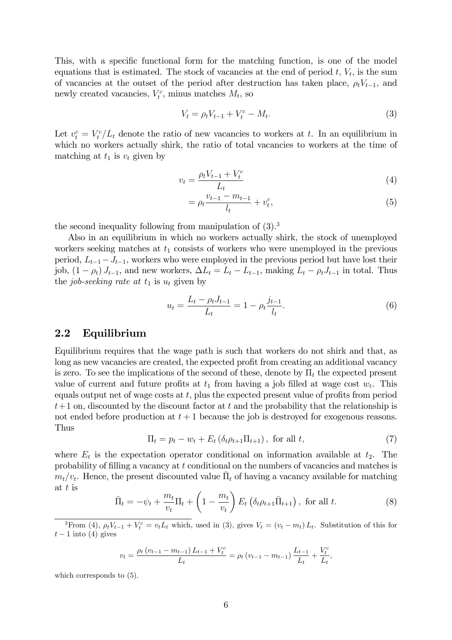This, with a specific functional form for the matching function, is one of the model equations that is estimated. The stock of vacancies at the end of period  $t, V_t$ , is the sum of vacancies at the outset of the period after destruction has taken place,  $\rho_t V_{t-1}$ , and newly created vacancies,  $V_t^c$ , minus matches  $M_t$ , so

$$
V_t = \rho_t V_{t-1} + V_t^c - M_t. \tag{3}
$$

Let  $v_t^c = V_t^c / L_t$  denote the ratio of new vacancies to workers at t. In an equilibrium in which no workers actually shirk, the ratio of total vacancies to workers at the time of matching at  $t_1$  is  $v_t$  given by

$$
v_t = \frac{\rho_t V_{t-1} + V_t^c}{L_t} \tag{4}
$$

$$
= \rho_t \frac{v_{t-1} - m_{t-1}}{l_t} + v_t^c, \tag{5}
$$

the second inequality following from manipulation of  $(3)$ .<sup>3</sup>

Also in an equilibrium in which no workers actually shirk, the stock of unemployed workers seeking matches at  $t_1$  consists of workers who were unemployed in the previous period,  $L_{t-1}-J_{t-1}$ , workers who were employed in the previous period but have lost their job,  $(1 - \rho_t) J_{t-1}$ , and new workers,  $\Delta L_t = L_t - L_{t-1}$ , making  $L_t - \rho_t J_{t-1}$  in total. Thus the job-seeking rate at  $t_1$  is  $u_t$  given by

$$
u_t = \frac{L_t - \rho_t J_{t-1}}{L_t} = 1 - \rho_t \frac{j_{t-1}}{l_t}.
$$
\n(6)

#### 2.2 Equilibrium

Equilibrium requires that the wage path is such that workers do not shirk and that, as long as new vacancies are created, the expected profit from creating an additional vacancy is zero. To see the implications of the second of these, denote by  $\Pi_t$  the expected present value of current and future profits at  $t_1$  from having a job filled at wage cost  $w_t$ . This equals output net of wage costs at  $t$ , plus the expected present value of profits from period  $t+1$  on, discounted by the discount factor at t and the probability that the relationship is not ended before production at  $t + 1$  because the job is destroyed for exogenous reasons. Thus

$$
\Pi_t = p_t - w_t + E_t \left( \delta_t \rho_{t+1} \Pi_{t+1} \right), \text{ for all } t,
$$
\n
$$
\tag{7}
$$

where  $E_t$  is the expectation operator conditional on information available at  $t_2$ . The probability of Ölling a vacancy at t conditional on the numbers of vacancies and matches is  $m_t/v_t$ . Hence, the present discounted value  $\bar{\Pi}_t$  of having a vacancy available for matching at t is

$$
\bar{\Pi}_t = -\psi_t + \frac{m_t}{v_t} \Pi_t + \left(1 - \frac{m_t}{v_t}\right) E_t \left(\delta_t \rho_{t+1} \bar{\Pi}_{t+1}\right), \text{ for all } t.
$$
\n
$$
(8)
$$

<sup>3</sup>From (4),  $\rho_t V_{t-1} + V_t^c = v_t L_t$  which, used in (3), gives  $V_t = (v_t - m_t) L_t$ . Substitution of this for  $t-1$  into (4) gives

$$
v_t = \frac{\rho_t \left(v_{t-1} - m_{t-1}\right) L_{t-1} + V_t^c}{L_t} = \rho_t \left(v_{t-1} - m_{t-1}\right) \frac{L_{t-1}}{L_t} + \frac{V_t^c}{L_t},
$$

which corresponds to  $(5)$ .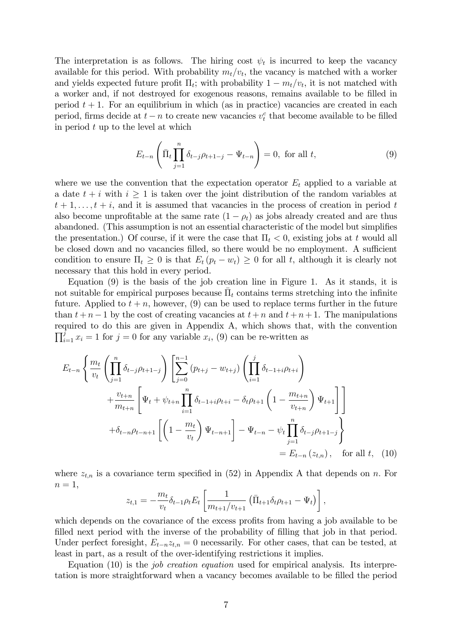The interpretation is as follows. The hiring cost  $\psi_t$  is incurred to keep the vacancy available for this period. With probability  $m_t/v_t$ , the vacancy is matched with a worker and yields expected future profit  $\Pi_t$ ; with probability  $1 - m_t/v_t$ , it is not matched with a worker and, if not destroyed for exogenous reasons, remains available to be filled in period  $t + 1$ . For an equilibrium in which (as in practice) vacancies are created in each period, firms decide at  $t - n$  to create new vacancies  $v_t^c$  that become available to be filled in period  $t$  up to the level at which

$$
E_{t-n}\left(\bar{\Pi}_t \prod_{j=1}^n \delta_{t-j} \rho_{t+1-j} - \Psi_{t-n}\right) = 0, \text{ for all } t,
$$
\n(9)

where we use the convention that the expectation operator  $E_t$  applied to a variable at a date  $t + i$  with  $i \geq 1$  is taken over the joint distribution of the random variables at  $t + 1, \ldots, t + i$ , and it is assumed that vacancies in the process of creation in period t also become unprofitable at the same rate  $(1 - \rho_t)$  as jobs already created and are thus abandoned. (This assumption is not an essential characteristic of the model but simplifies the presentation.) Of course, if it were the case that  $\Pi_t < 0$ , existing jobs at t would all be closed down and no vacancies filled, so there would be no employment. A sufficient condition to ensure  $\Pi_t \geq 0$  is that  $E_t (p_t - w_t) \geq 0$  for all t, although it is clearly not necessary that this hold in every period.

Equation (9) is the basis of the job creation line in Figure 1. As it stands, it is not suitable for empirical purposes because  $\bar{\Pi}_t$  contains terms stretching into the infinite future. Applied to  $t + n$ , however, (9) can be used to replace terms further in the future than  $t + n - 1$  by the cost of creating vacancies at  $t + n$  and  $t + n + 1$ . The manipulations required to do this are given in Appendix A, which shows that, with the convention  $\prod_{i=1}^{j} x_i = 1$  for  $j = 0$  for any variable  $x_i$ , (9) can be re-written as

$$
E_{t-n} \left\{ \frac{m_t}{v_t} \left( \prod_{j=1}^n \delta_{t-j} \rho_{t+1-j} \right) \left[ \sum_{j=0}^{n-1} (p_{t+j} - w_{t+j}) \left( \prod_{i=1}^j \delta_{t-1+i} \rho_{t+i} \right) \right. \\ \left. + \frac{v_{t+n}}{m_{t+n}} \left[ \Psi_t + \psi_{t+n} \prod_{i=1}^n \delta_{t-1+i} \rho_{t+i} - \delta_t \rho_{t+1} \left( 1 - \frac{m_{t+n}}{v_{t+n}} \right) \Psi_{t+1} \right] \right] \\ \left. + \delta_{t-n} \rho_{t-n+1} \left[ \left( 1 - \frac{m_t}{v_t} \right) \Psi_{t-n+1} \right] - \Psi_{t-n} - \psi_t \prod_{j=1}^n \delta_{t-j} \rho_{t+1-j} \right\} \\ = E_{t-n} (z_{t,n}), \quad \text{for all } t, \quad (10)
$$

where  $z_{t,n}$  is a covariance term specified in (52) in Appendix A that depends on n. For  $n=1,$ 

$$
z_{t,1} = -\frac{m_t}{v_t} \delta_{t-1} \rho_t E_t \left[ \frac{1}{m_{t+1}/v_{t+1}} \left( \bar{\Pi}_{t+1} \delta_t \rho_{t+1} - \Psi_t \right) \right],
$$

which depends on the covariance of the excess profits from having a job available to be filled next period with the inverse of the probability of filling that job in that period. Under perfect foresight,  $E_{t-n}z_{t,n} = 0$  necessarily. For other cases, that can be tested, at least in part, as a result of the over-identifying restrictions it implies.

Equation (10) is the job creation equation used for empirical analysis. Its interpretation is more straightforward when a vacancy becomes available to be filled the period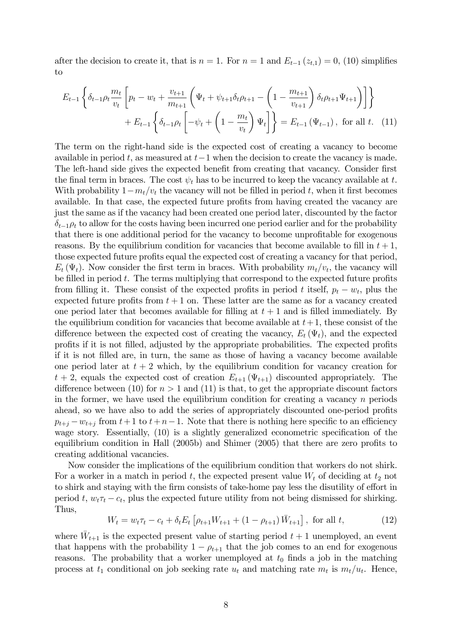after the decision to create it, that is  $n = 1$ . For  $n = 1$  and  $E_{t-1} (z_{t,1}) = 0$ , (10) simplifies to

$$
E_{t-1} \left\{ \delta_{t-1} \rho_t \frac{m_t}{v_t} \left[ p_t - w_t + \frac{v_{t+1}}{m_{t+1}} \left( \Psi_t + \psi_{t+1} \delta_t \rho_{t+1} - \left( 1 - \frac{m_{t+1}}{v_{t+1}} \right) \delta_t \rho_{t+1} \Psi_{t+1} \right) \right] \right\} + E_{t-1} \left\{ \delta_{t-1} \rho_t \left[ -\psi_t + \left( 1 - \frac{m_t}{v_t} \right) \Psi_t \right] \right\} = E_{t-1} \left( \Psi_{t-1} \right), \text{ for all } t. \tag{11}
$$

The term on the right-hand side is the expected cost of creating a vacancy to become available in period t, as measured at  $t-1$  when the decision to create the vacancy is made. The left-hand side gives the expected benefit from creating that vacancy. Consider first the final term in braces. The cost  $\psi_t$  has to be incurred to keep the vacancy available at t. With probability  $1-m_t/v_t$  the vacancy will not be filled in period t, when it first becomes available. In that case, the expected future profits from having created the vacancy are just the same as if the vacancy had been created one period later, discounted by the factor  $\delta_{t-1}\rho_t$  to allow for the costs having been incurred one period earlier and for the probability that there is one additional period for the vacancy to become unprofitable for exogenous reasons. By the equilibrium condition for vacancies that become available to fill in  $t + 1$ , those expected future profits equal the expected cost of creating a vacancy for that period,  $E_t(\Psi_t)$ . Now consider the first term in braces. With probability  $m_t/v_t$ , the vacancy will be filled in period  $t$ . The terms multiplying that correspond to the expected future profits from filling it. These consist of the expected profits in period t itself,  $p_t - w_t$ , plus the expected future profits from  $t + 1$  on. These latter are the same as for a vacancy created one period later that becomes available for filling at  $t + 1$  and is filled immediately. By the equilibrium condition for vacancies that become available at  $t+1$ , these consist of the difference between the expected cost of creating the vacancy,  $E_t(\Psi_t)$ , and the expected profits if it is not filled, adjusted by the appropriate probabilities. The expected profits if it is not Ölled are, in turn, the same as those of having a vacancy become available one period later at  $t + 2$  which, by the equilibrium condition for vacancy creation for  $t + 2$ , equals the expected cost of creation  $E_{t+1}(\Psi_{t+1})$  discounted appropriately. The difference between (10) for  $n > 1$  and (11) is that, to get the appropriate discount factors in the former, we have used the equilibrium condition for creating a vacancy  $n$  periods ahead, so we have also to add the series of appropriately discounted one-period profits  $p_{t+i} - w_{t+i}$  from  $t+1$  to  $t+n-1$ . Note that there is nothing here specific to an efficiency wage story. Essentially,  $(10)$  is a slightly generalized econometric specification of the equilibrium condition in Hall  $(2005b)$  and Shimer  $(2005)$  that there are zero profits to creating additional vacancies.

Now consider the implications of the equilibrium condition that workers do not shirk. For a worker in a match in period t, the expected present value  $W_t$  of deciding at  $t_2$  not to shirk and staying with the firm consists of take-home pay less the disutility of effort in period t,  $w_t \tau_t - c_t$ , plus the expected future utility from not being dismissed for shirking. Thus,

$$
W_t = w_t \tau_t - c_t + \delta_t E_t \left[ \rho_{t+1} W_{t+1} + (1 - \rho_{t+1}) \bar{W}_{t+1} \right], \text{ for all } t,
$$
 (12)

where  $\bar{W}_{t+1}$  is the expected present value of starting period  $t+1$  unemployed, an event that happens with the probability  $1 - \rho_{t+1}$  that the job comes to an end for exogenous reasons. The probability that a worker unemployed at  $t_0$  finds a job in the matching process at  $t_1$  conditional on job seeking rate  $u_t$  and matching rate  $m_t$  is  $m_t/u_t$ . Hence,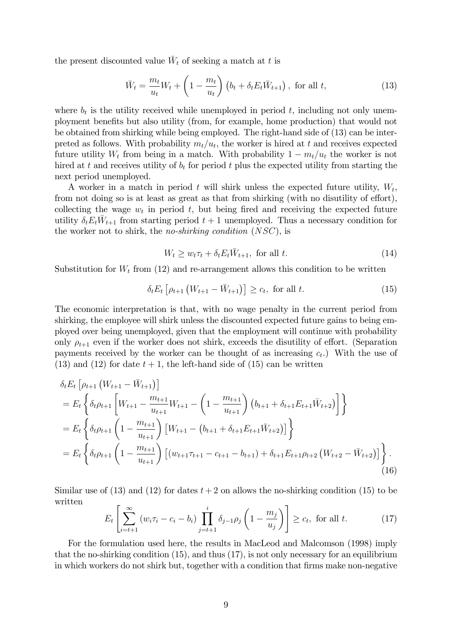the present discounted value  $\bar{W}_t$  of seeking a match at t is

$$
\bar{W}_t = \frac{m_t}{u_t} W_t + \left(1 - \frac{m_t}{u_t}\right) \left(b_t + \delta_t E_t \bar{W}_{t+1}\right), \text{ for all } t,
$$
\n(13)

where  $b_t$  is the utility received while unemployed in period t, including not only unemployment benefits but also utility (from, for example, home production) that would not be obtained from shirking while being employed. The right-hand side of (13) can be interpreted as follows. With probability  $m_t/u_t$ , the worker is hired at t and receives expected future utility  $W_t$  from being in a match. With probability  $1 - m_t/u_t$  the worker is not hired at t and receives utility of  $b_t$  for period t plus the expected utility from starting the next period unemployed.

A worker in a match in period t will shirk unless the expected future utility,  $W_t$ , from not doing so is at least as great as that from shirking (with no disutility of effort), collecting the wage  $w_t$  in period t, but being fired and receiving the expected future utility  $\delta_t E_t \overline{W}_{t+1}$  from starting period  $t+1$  unemployed. Thus a necessary condition for the worker not to shirk, the no-shirking condition (NSC), is

$$
W_t \ge w_t \tau_t + \delta_t E_t \overline{W}_{t+1}, \text{ for all } t. \tag{14}
$$

Substitution for  $W_t$  from (12) and re-arrangement allows this condition to be written

$$
\delta_t E_t \left[ \rho_{t+1} \left( W_{t+1} - \bar{W}_{t+1} \right) \right] \ge c_t, \text{ for all } t. \tag{15}
$$

The economic interpretation is that, with no wage penalty in the current period from shirking, the employee will shirk unless the discounted expected future gains to being employed over being unemployed, given that the employment will continue with probability only  $\rho_{t+1}$  even if the worker does not shirk, exceeds the disutility of effort. (Separation payments received by the worker can be thought of as increasing  $c_t$ . With the use of  $(13)$  and  $(12)$  for date  $t + 1$ , the left-hand side of  $(15)$  can be written

$$
\delta_t E_t \left[ \rho_{t+1} \left( W_{t+1} - \bar{W}_{t+1} \right) \right]
$$
\n
$$
= E_t \left\{ \delta_t \rho_{t+1} \left[ W_{t+1} - \frac{m_{t+1}}{u_{t+1}} W_{t+1} - \left( 1 - \frac{m_{t+1}}{u_{t+1}} \right) \left( b_{t+1} + \delta_{t+1} E_{t+1} \bar{W}_{t+2} \right) \right] \right\}
$$
\n
$$
= E_t \left\{ \delta_t \rho_{t+1} \left( 1 - \frac{m_{t+1}}{u_{t+1}} \right) \left[ W_{t+1} - \left( b_{t+1} + \delta_{t+1} E_{t+1} \bar{W}_{t+2} \right) \right] \right\}
$$
\n
$$
= E_t \left\{ \delta_t \rho_{t+1} \left( 1 - \frac{m_{t+1}}{u_{t+1}} \right) \left[ \left( w_{t+1} \tau_{t+1} - c_{t+1} - b_{t+1} \right) + \delta_{t+1} E_{t+1} \rho_{t+2} \left( W_{t+2} - \bar{W}_{t+2} \right) \right] \right\}.
$$
\n(16)

Similar use of (13) and (12) for dates  $t + 2$  on allows the no-shirking condition (15) to be written

$$
E_t\left[\sum_{i=t+1}^{\infty} \left(w_i \tau_i - c_i - b_i\right) \prod_{j=t+1}^{i} \delta_{j-1} \rho_j \left(1 - \frac{m_j}{u_j}\right)\right] \ge c_t, \text{ for all } t.
$$
 (17)

For the formulation used here, the results in MacLeod and Malcomson (1998) imply that the no-shirking condition (15), and thus (17), is not only necessary for an equilibrium in which workers do not shirk but, together with a condition that firms make non-negative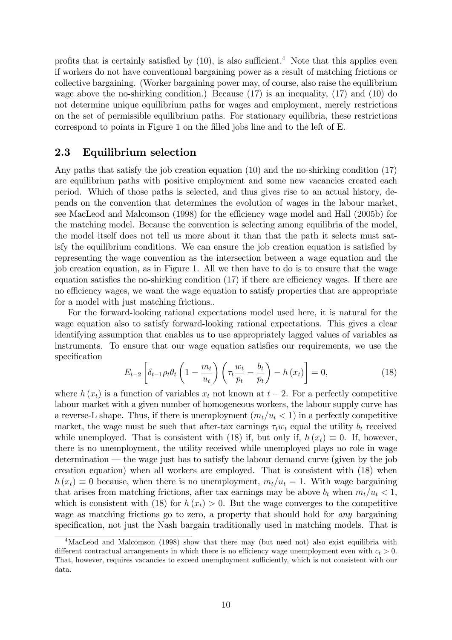profits that is certainly satisfied by  $(10)$ , is also sufficient.<sup>4</sup> Note that this applies even if workers do not have conventional bargaining power as a result of matching frictions or collective bargaining. (Worker bargaining power may, of course, also raise the equilibrium wage above the no-shirking condition.) Because (17) is an inequality, (17) and (10) do not determine unique equilibrium paths for wages and employment, merely restrictions on the set of permissible equilibrium paths. For stationary equilibria, these restrictions correspond to points in Figure 1 on the filled jobs line and to the left of E.

#### 2.3 Equilibrium selection

Any paths that satisfy the job creation equation (10) and the no-shirking condition (17) are equilibrium paths with positive employment and some new vacancies created each period. Which of those paths is selected, and thus gives rise to an actual history, depends on the convention that determines the evolution of wages in the labour market, see MacLeod and Malcomson (1998) for the efficiency wage model and Hall (2005b) for the matching model. Because the convention is selecting among equilibria of the model, the model itself does not tell us more about it than that the path it selects must satisfy the equilibrium conditions. We can ensure the job creation equation is satisfied by representing the wage convention as the intersection between a wage equation and the job creation equation, as in Figure 1. All we then have to do is to ensure that the wage equation satisfies the no-shirking condition  $(17)$  if there are efficiency wages. If there are no efficiency wages, we want the wage equation to satisfy properties that are appropriate for a model with just matching frictions..

For the forward-looking rational expectations model used here, it is natural for the wage equation also to satisfy forward-looking rational expectations. This gives a clear identifying assumption that enables us to use appropriately lagged values of variables as instruments. To ensure that our wage equation satisfies our requirements, we use the specification

$$
E_{t-2}\left[\delta_{t-1}\rho_t\theta_t\left(1-\frac{m_t}{u_t}\right)\left(\tau_t\frac{w_t}{p_t}-\frac{b_t}{p_t}\right)-h\left(x_t\right)\right]=0,\tag{18}
$$

where  $h(x_t)$  is a function of variables  $x_t$  not known at  $t-2$ . For a perfectly competitive labour market with a given number of homogeneous workers, the labour supply curve has a reverse-L shape. Thus, if there is unemployment  $(m_t/u_t < 1)$  in a perfectly competitive market, the wage must be such that after-tax earnings  $\tau_t w_t$  equal the utility  $b_t$  received while unemployed. That is consistent with (18) if, but only if,  $h(x_t) \equiv 0$ . If, however, there is no unemployment, the utility received while unemployed plays no role in wage determination  $\sim$  the wage just has to satisfy the labour demand curve (given by the job creation equation) when all workers are employed. That is consistent with (18) when  $h(x_t) \equiv 0$  because, when there is no unemployment,  $m_t/u_t = 1$ . With wage bargaining that arises from matching frictions, after tax earnings may be above  $b_t$  when  $m_t/u_t < 1$ , which is consistent with (18) for  $h(x_t) > 0$ . But the wage converges to the competitive wage as matching frictions go to zero, a property that should hold for *any* bargaining specification, not just the Nash bargain traditionally used in matching models. That is

<sup>&</sup>lt;sup>4</sup>MacLeod and Malcomson (1998) show that there may (but need not) also exist equilibria with different contractual arrangements in which there is no efficiency wage unemployment even with  $c_t > 0$ . That, however, requires vacancies to exceed unemployment sufficiently, which is not consistent with our data.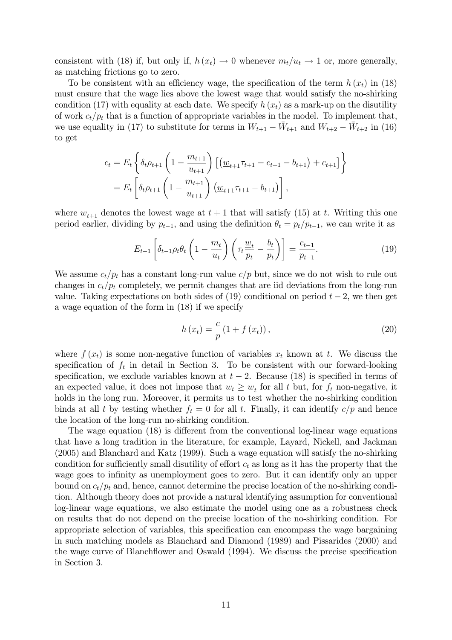consistent with (18) if, but only if,  $h(x_t) \to 0$  whenever  $m_t/u_t \to 1$  or, more generally, as matching frictions go to zero.

To be consistent with an efficiency wage, the specification of the term  $h(x_t)$  in (18) must ensure that the wage lies above the lowest wage that would satisfy the no-shirking condition (17) with equality at each date. We specify  $h(x_t)$  as a mark-up on the disutility of work  $c_t/p_t$  that is a function of appropriate variables in the model. To implement that, we use equality in (17) to substitute for terms in  $W_{t+1} - \bar{W}_{t+1}$  and  $W_{t+2} - \bar{W}_{t+2}$  in (16) to get

$$
c_{t} = E_{t} \left\{ \delta_{t} \rho_{t+1} \left( 1 - \frac{m_{t+1}}{u_{t+1}} \right) \left[ \left( \underline{w}_{t+1} \tau_{t+1} - c_{t+1} - b_{t+1} \right) + c_{t+1} \right] \right\}
$$
  
= 
$$
E_{t} \left[ \delta_{t} \rho_{t+1} \left( 1 - \frac{m_{t+1}}{u_{t+1}} \right) \left( \underline{w}_{t+1} \tau_{t+1} - b_{t+1} \right) \right],
$$

where  $\underline{w}_{t+1}$  denotes the lowest wage at  $t + 1$  that will satisfy (15) at t. Writing this one period earlier, dividing by  $p_{t-1}$ , and using the definition  $\theta_t = p_t/p_{t-1}$ , we can write it as

$$
E_{t-1}\left[\delta_{t-1}\rho_t\theta_t\left(1-\frac{m_t}{u_t}\right)\left(\tau_t\frac{\underline{w}_t}{p_t}-\frac{b_t}{p_t}\right)\right]=\frac{c_{t-1}}{p_{t-1}}.\tag{19}
$$

We assume  $c_t/p_t$  has a constant long-run value  $c/p$  but, since we do not wish to rule out changes in  $c_t/p_t$  completely, we permit changes that are iid deviations from the long-run value. Taking expectations on both sides of  $(19)$  conditional on period  $t - 2$ , we then get a wage equation of the form in (18) if we specify

$$
h(x_t) = \frac{c}{p} (1 + f(x_t)),
$$
\n(20)

where  $f(x_t)$  is some non-negative function of variables  $x_t$  known at t. We discuss the specification of  $f_t$  in detail in Section 3. To be consistent with our forward-looking specification, we exclude variables known at  $t - 2$ . Because (18) is specified in terms of an expected value, it does not impose that  $w_t \geq \underline{w}_t$  for all t but, for  $f_t$  non-negative, it holds in the long run. Moreover, it permits us to test whether the no-shirking condition binds at all t by testing whether  $f_t = 0$  for all t. Finally, it can identify  $c/p$  and hence the location of the long-run no-shirking condition.

The wage equation  $(18)$  is different from the conventional log-linear wage equations that have a long tradition in the literature, for example, Layard, Nickell, and Jackman (2005) and Blanchard and Katz (1999). Such a wage equation will satisfy the no-shirking condition for sufficiently small disutility of effort  $c_t$  as long as it has the property that the wage goes to infinity as unemployment goes to zero. But it can identify only an upper bound on  $c_t/p_t$  and, hence, cannot determine the precise location of the no-shirking condition. Although theory does not provide a natural identifying assumption for conventional log-linear wage equations, we also estimate the model using one as a robustness check on results that do not depend on the precise location of the no-shirking condition. For appropriate selection of variables, this specification can encompass the wage bargaining in such matching models as Blanchard and Diamond (1989) and Pissarides (2000) and the wage curve of Blanchflower and Oswald (1994). We discuss the precise specification in Section 3.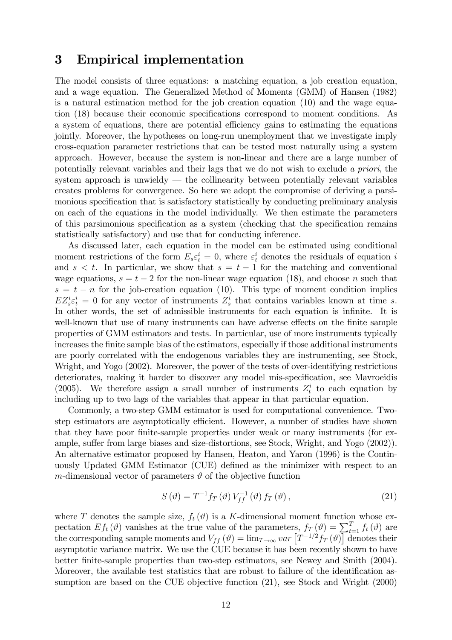### 3 Empirical implementation

The model consists of three equations: a matching equation, a job creation equation, and a wage equation. The Generalized Method of Moments (GMM) of Hansen (1982) is a natural estimation method for the job creation equation (10) and the wage equation (18) because their economic specifications correspond to moment conditions. As a system of equations, there are potential efficiency gains to estimating the equations jointly. Moreover, the hypotheses on long-run unemployment that we investigate imply cross-equation parameter restrictions that can be tested most naturally using a system approach. However, because the system is non-linear and there are a large number of potentially relevant variables and their lags that we do not wish to exclude a priori, the system approach is unwieldy  $-$  the collinearity between potentially relevant variables creates problems for convergence. So here we adopt the compromise of deriving a parsimonious specification that is satisfactory statistically by conducting preliminary analysis on each of the equations in the model individually. We then estimate the parameters of this parsimonious specification as a system (checking that the specification remains statistically satisfactory) and use that for conducting inference.

As discussed later, each equation in the model can be estimated using conditional moment restrictions of the form  $E_s \varepsilon_t^i = 0$ , where  $\varepsilon_t^i$  denotes the residuals of equation i and  $s < t$ . In particular, we show that  $s = t - 1$  for the matching and conventional wage equations,  $s = t - 2$  for the non-linear wage equation (18), and choose n such that  $s = t - n$  for the job-creation equation (10). This type of moment condition implies  $EZ_s^i\varepsilon_t^i=0$  for any vector of instruments  $Z_s^i$  that contains variables known at time s. In other words, the set of admissible instruments for each equation is infinite. It is well-known that use of many instruments can have adverse effects on the finite sample properties of GMM estimators and tests. In particular, use of more instruments typically increases the finite sample bias of the estimators, especially if those additional instruments are poorly correlated with the endogenous variables they are instrumenting, see Stock, Wright, and Yogo (2002). Moreover, the power of the tests of over-identifying restrictions deteriorates, making it harder to discover any model mis-specification, see Mavroeidis (2005). We therefore assign a small number of instruments  $Z_t^i$  to each equation by including up to two lags of the variables that appear in that particular equation.

Commonly, a two-step GMM estimator is used for computational convenience. Twostep estimators are asymptotically efficient. However, a number of studies have shown that they have poor finite-sample properties under weak or many instruments (for example, suffer from large biases and size-distortions, see Stock, Wright, and Yogo (2002)). An alternative estimator proposed by Hansen, Heaton, and Yaron (1996) is the Continuously Updated GMM Estimator (CUE) defined as the minimizer with respect to an m-dimensional vector of parameters  $\vartheta$  of the objective function

$$
S\left(\vartheta\right) = T^{-1} f_T\left(\vartheta\right) V_{ff}^{-1}\left(\vartheta\right) f_T\left(\vartheta\right),\tag{21}
$$

where T denotes the sample size,  $f_t(\vartheta)$  is a K-dimensional moment function whose expectation  $Ef_t(\vartheta)$  vanishes at the true value of the parameters,  $f_T(\vartheta) = \sum_{t=1}^T f_t(\vartheta)$  are the corresponding sample moments and  $V_{ff}(\vartheta) = \lim_{T \to \infty} var \left[ T^{-1/2} f_T(\vartheta) \right]$  denotes their asymptotic variance matrix. We use the CUE because it has been recently shown to have better Önite-sample properties than two-step estimators, see Newey and Smith (2004). Moreover, the available test statistics that are robust to failure of the identification assumption are based on the CUE objective function (21), see Stock and Wright (2000)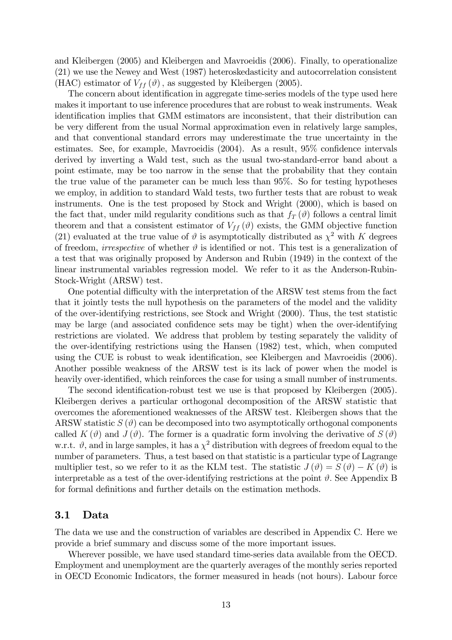and Kleibergen (2005) and Kleibergen and Mavroeidis (2006). Finally, to operationalize (21) we use the Newey and West (1987) heteroskedasticity and autocorrelation consistent (HAC) estimator of  $V_{ff}(\vartheta)$ , as suggested by Kleibergen (2005).

The concern about identification in aggregate time-series models of the type used here makes it important to use inference procedures that are robust to weak instruments. Weak identification implies that GMM estimators are inconsistent, that their distribution can be very different from the usual Normal approximation even in relatively large samples, and that conventional standard errors may underestimate the true uncertainty in the estimates. See, for example, Mavroeidis  $(2004)$ . As a result,  $95\%$  confidence intervals derived by inverting a Wald test, such as the usual two-standard-error band about a point estimate, may be too narrow in the sense that the probability that they contain the true value of the parameter can be much less than 95%. So for testing hypotheses we employ, in addition to standard Wald tests, two further tests that are robust to weak instruments. One is the test proposed by Stock and Wright (2000), which is based on the fact that, under mild regularity conditions such as that  $f_T(\theta)$  follows a central limit theorem and that a consistent estimator of  $V_{ff}(\theta)$  exists, the GMM objective function (21) evaluated at the true value of  $\vartheta$  is asymptotically distributed as  $\chi^2$  with K degrees of freedom, *irrespective* of whether  $\vartheta$  is identified or not. This test is a generalization of a test that was originally proposed by Anderson and Rubin (1949) in the context of the linear instrumental variables regression model. We refer to it as the Anderson-Rubin-Stock-Wright (ARSW) test.

One potential difficulty with the interpretation of the ARSW test stems from the fact that it jointly tests the null hypothesis on the parameters of the model and the validity of the over-identifying restrictions, see Stock and Wright (2000). Thus, the test statistic may be large (and associated confidence sets may be tight) when the over-identifying restrictions are violated. We address that problem by testing separately the validity of the over-identifying restrictions using the Hansen (1982) test, which, when computed using the CUE is robust to weak identification, see Kleibergen and Mavroeidis (2006). Another possible weakness of the ARSW test is its lack of power when the model is heavily over-identified, which reinforces the case for using a small number of instruments.

The second identification-robust test we use is that proposed by Kleibergen (2005). Kleibergen derives a particular orthogonal decomposition of the ARSW statistic that overcomes the aforementioned weaknesses of the ARSW test. Kleibergen shows that the ARSW statistic  $S(\vartheta)$  can be decomposed into two asymptotically orthogonal components called  $K(\vartheta)$  and  $J(\vartheta)$ . The former is a quadratic form involving the derivative of  $S(\vartheta)$ w.r.t.  $\vartheta$ , and in large samples, it has a  $\chi^2$  distribution with degrees of freedom equal to the number of parameters. Thus, a test based on that statistic is a particular type of Lagrange multiplier test, so we refer to it as the KLM test. The statistic  $J(\vartheta) = S(\vartheta) - K(\vartheta)$  is interpretable as a test of the over-identifying restrictions at the point  $\vartheta$ . See Appendix B for formal definitions and further details on the estimation methods.

#### 3.1 Data

The data we use and the construction of variables are described in Appendix C. Here we provide a brief summary and discuss some of the more important issues.

Wherever possible, we have used standard time-series data available from the OECD. Employment and unemployment are the quarterly averages of the monthly series reported in OECD Economic Indicators, the former measured in heads (not hours). Labour force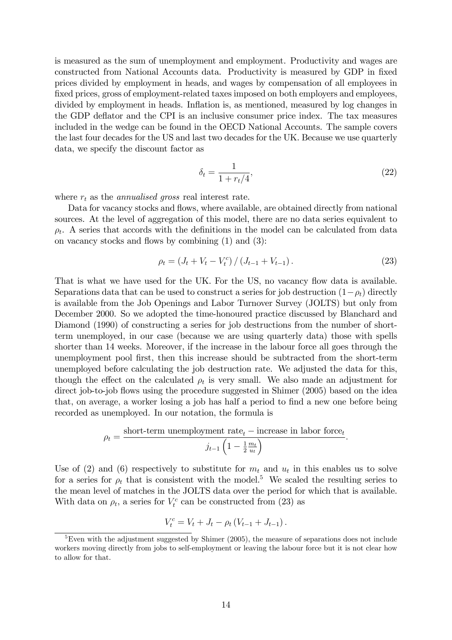is measured as the sum of unemployment and employment. Productivity and wages are constructed from National Accounts data. Productivity is measured by GDP in fixed prices divided by employment in heads, and wages by compensation of all employees in fixed prices, gross of employment-related taxes imposed on both employers and employees, divided by employment in heads. Inflation is, as mentioned, measured by log changes in the GDP deáator and the CPI is an inclusive consumer price index. The tax measures included in the wedge can be found in the OECD National Accounts. The sample covers the last four decades for the US and last two decades for the UK. Because we use quarterly data, we specify the discount factor as

$$
\delta_t = \frac{1}{1 + r_t/4},\tag{22}
$$

where  $r_t$  as the *annualised gross* real interest rate.

Data for vacancy stocks and flows, where available, are obtained directly from national sources. At the level of aggregation of this model, there are no data series equivalent to  $\rho_t$ . A series that accords with the definitions in the model can be calculated from data on vacancy stocks and flows by combining  $(1)$  and  $(3)$ :

$$
\rho_t = (J_t + V_t - V_t^c) / (J_{t-1} + V_{t-1}).
$$
\n(23)

That is what we have used for the UK. For the US, no vacancy flow data is available. Separations data that can be used to construct a series for job destruction  $(1-\rho_t)$  directly is available from the Job Openings and Labor Turnover Survey (JOLTS) but only from December 2000. So we adopted the time-honoured practice discussed by Blanchard and Diamond (1990) of constructing a series for job destructions from the number of shortterm unemployed, in our case (because we are using quarterly data) those with spells shorter than 14 weeks. Moreover, if the increase in the labour force all goes through the unemployment pool Örst, then this increase should be subtracted from the short-term unemployed before calculating the job destruction rate. We adjusted the data for this, though the effect on the calculated  $\rho_t$  is very small. We also made an adjustment for direct job-to-job flows using the procedure suggested in Shimer (2005) based on the idea that, on average, a worker losing a job has half a period to find a new one before being recorded as unemployed. In our notation, the formula is

$$
\rho_t = \frac{\text{short-term un employment rate}_t - \text{increase in labor force}_t}{j_{t-1} \left(1 - \frac{1}{2} \frac{m_t}{u_t}\right)}.
$$

Use of (2) and (6) respectively to substitute for  $m_t$  and  $u_t$  in this enables us to solve for a series for  $\rho_t$  that is consistent with the model.<sup>5</sup> We scaled the resulting series to the mean level of matches in the JOLTS data over the period for which that is available. With data on  $\rho_t$ , a series for  $V_t^c$  can be constructed from (23) as

$$
V_t^c = V_t + J_t - \rho_t (V_{t-1} + J_{t-1}).
$$

<sup>&</sup>lt;sup>5</sup>Even with the adjustment suggested by Shimer (2005), the measure of separations does not include workers moving directly from jobs to self-employment or leaving the labour force but it is not clear how to allow for that.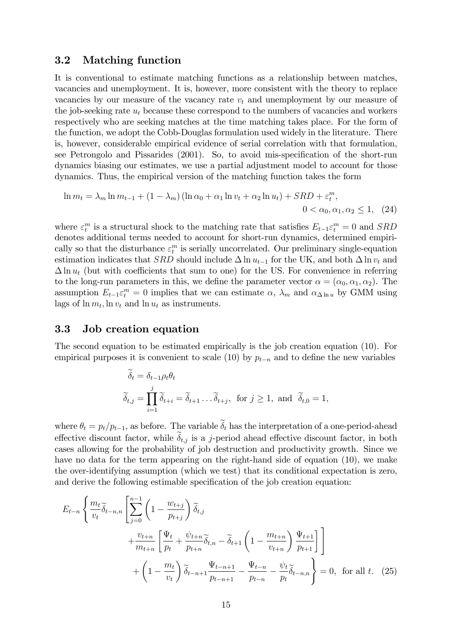### 3.2 Matching function

It is conventional to estimate matching functions as a relationship between matches, vacancies and unemployment. It is, however, more consistent with the theory to replace vacancies by our measure of the vacancy rate  $v_t$  and unemployment by our measure of the job-seeking rate  $u_t$  because these correspond to the numbers of vacancies and workers respectively who are seeking matches at the time matching takes place. For the form of the function, we adopt the Cobb-Douglas formulation used widely in the literature. There is, however, considerable empirical evidence of serial correlation with that formulation, see Petrongolo and Pissarides (2001). So, to avoid mis-specification of the short-run dynamics biasing our estimates, we use a partial adjustment model to account for those dynamics. Thus, the empirical version of the matching function takes the form

$$
\ln m_t = \lambda_m \ln m_{t-1} + (1 - \lambda_m) (\ln \alpha_0 + \alpha_1 \ln v_t + \alpha_2 \ln u_t) + SRD + \varepsilon_t^m,
$$
  
0 < \alpha\_0, \alpha\_1, \alpha\_2 \le 1, (24)

where  $\varepsilon_t^m$  is a structural shock to the matching rate that satisfies  $E_{t-1}\varepsilon_t^m = 0$  and  $SRD$ denotes additional terms needed to account for short-run dynamics, determined empirically so that the disturbance  $\varepsilon_t^m$  is serially uncorrelated. Our preliminary single-equation estimation indicates that SRD should include  $\Delta \ln u_{t-1}$  for the UK, and both  $\Delta \ln v_t$  and  $\Delta \ln u_t$  (but with coefficients that sum to one) for the US. For convenience in referring to the long-run parameters in this, we define the parameter vector  $\alpha = (\alpha_0, \alpha_1, \alpha_2)$ . The assumption  $E_{t-1} \varepsilon_t^m = 0$  implies that we can estimate  $\alpha$ ,  $\lambda_m$  and  $\alpha_{\Delta \ln u}$  by GMM using lags of  $\ln m_t$ ,  $\ln v_t$  and  $\ln u_t$  as instruments.

#### 3.3 Job creation equation

The second equation to be estimated empirically is the job creation equation (10). For empirical purposes it is convenient to scale (10) by  $p_{t-n}$  and to define the new variables

$$
\widetilde{\delta}_t = \delta_{t-1} \rho_t \theta_t
$$
  
\n
$$
\widetilde{\delta}_{t,j} = \prod_{i=1}^j \widetilde{\delta}_{t+i} = \widetilde{\delta}_{t+1} \dots \widetilde{\delta}_{t+j}, \text{ for } j \ge 1, \text{ and } \widetilde{\delta}_{t,0} = 1,
$$

where  $\theta_t = p_t/p_{t-1}$ , as before. The variable  $\tilde{\delta}_t$  has the interpretation of a one-period-ahead effective discount factor, while  $\delta_{t,j}$  is a j-period ahead effective discount factor, in both cases allowing for the probability of job destruction and productivity growth. Since we have no data for the term appearing on the right-hand side of equation (10), we make the over-identifying assumption (which we test) that its conditional expectation is zero, and derive the following estimable specification of the job creation equation:

$$
E_{t-n} \left\{ \frac{m_t}{v_t} \tilde{\delta}_{t-n,n} \left[ \sum_{j=0}^{n-1} \left( 1 - \frac{w_{t+j}}{p_{t+j}} \right) \tilde{\delta}_{t,j} \right. \right.+ \frac{v_{t+n}}{m_{t+n}} \left[ \frac{\Psi_t}{p_t} + \frac{\psi_{t+n}}{p_{t+n}} \tilde{\delta}_{t,n} - \tilde{\delta}_{t+1} \left( 1 - \frac{m_{t+n}}{v_{t+n}} \right) \frac{\Psi_{t+1}}{p_{t+1}} \right] \right]+ \left( 1 - \frac{m_t}{v_t} \right) \tilde{\delta}_{t-n+1} \frac{\Psi_{t-n+1}}{p_{t-n+1}} - \frac{\Psi_{t-n}}{p_{t-n}} - \frac{\psi_t}{p_t} \tilde{\delta}_{t-n,n} \right\} = 0, \text{ for all } t. (25)
$$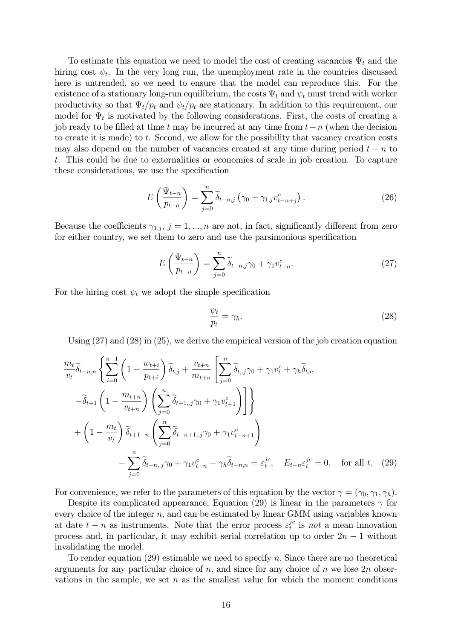To estimate this equation we need to model the cost of creating vacancies  $\Psi_t$  and the hiring cost  $\psi_t$ . In the very long run, the unemployment rate in the countries discussed here is untrended, so we need to ensure that the model can reproduce this. For the existence of a stationary long-run equilibrium, the costs  $\Psi_t$  and  $\psi_t$  must trend with worker productivity so that  $\Psi_t / p_t$  and  $\psi_t / p_t$  are stationary. In addition to this requirement, our model for  $\Psi_t$  is motivated by the following considerations. First, the costs of creating a job ready to be filled at time t may be incurred at any time from  $t-n$  (when the decision to create it is made) to t. Second, we allow for the possibility that vacancy creation costs may also depend on the number of vacancies created at any time during period  $t - n$  to t. This could be due to externalities or economies of scale in job creation. To capture these considerations, we use the specification

$$
E\left(\frac{\Psi_{t-n}}{p_{t-n}}\right) = \sum_{j=0}^{n} \widetilde{\delta}_{t-n,j} \left(\gamma_0 + \gamma_{1,j} v_{t-n+j}^c\right). \tag{26}
$$

Because the coefficients  $\gamma_{1,j}, j = 1, ..., n$  are not, in fact, significantly different from zero for either country, we set them to zero and use the parsimonious specification

$$
E\left(\frac{\Psi_{t-n}}{p_{t-n}}\right) = \sum_{j=0}^{n} \widetilde{\delta}_{t-n,j} \gamma_0 + \gamma_1 v_{t-n}^c.
$$
 (27)

For the hiring cost  $\psi_t$  we adopt the simple specification

$$
\frac{\psi_t}{p_t} = \gamma_h. \tag{28}
$$

Using  $(27)$  and  $(28)$  in  $(25)$ , we derive the empirical version of the job creation equation

$$
\frac{m_t}{v_t} \tilde{\delta}_{t-n,n} \left\{ \sum_{i=0}^{n-1} \left( 1 - \frac{w_{t+i}}{p_{t+i}} \right) \tilde{\delta}_{t,j} + \frac{v_{t+n}}{m_{t+n}} \left[ \sum_{j=0}^n \tilde{\delta}_{t,j} \gamma_0 + \gamma_1 v_t^c + \gamma_h \tilde{\delta}_{t,n} \right] \right. \\
\left. - \tilde{\delta}_{t+1} \left( 1 - \frac{m_{t+n}}{v_{t+n}} \right) \left( \sum_{j=0}^n \tilde{\delta}_{t+1,j} \gamma_0 + \gamma_1 v_{t+1}^c \right) \right] \right\} \\
+ \left( 1 - \frac{m_t}{v_t} \right) \tilde{\delta}_{t+1-n} \left( \sum_{j=0}^n \tilde{\delta}_{t-n+1,j} \gamma_0 + \gamma_1 v_{t-n+1}^c \right) \\
- \sum_{j=0}^n \tilde{\delta}_{t-n,j} \gamma_0 + \gamma_1 v_{t-n}^c - \gamma_h \tilde{\delta}_{t-n,n} = \varepsilon_t^{jc}, \quad E_{t-n} \varepsilon_t^{jc} = 0, \quad \text{for all } t. \tag{29}
$$

For convenience, we refer to the parameters of this equation by the vector  $\gamma = (\gamma_0, \gamma_1, \gamma_h)$ .

Despite its complicated appearance, Equation (29) is linear in the parameters  $\gamma$  for every choice of the integer  $n$ , and can be estimated by linear GMM using variables known at date  $t - n$  as instruments. Note that the error process  $\varepsilon_t^{jc}$  $t^{c}$  is not a mean innovation process and, in particular, it may exhibit serial correlation up to order  $2n - 1$  without invalidating the model.

To render equation  $(29)$  estimable we need to specify n. Since there are no theoretical arguments for any particular choice of  $n$ , and since for any choice of  $n$  we lose  $2n$  observations in the sample, we set  $n$  as the smallest value for which the moment conditions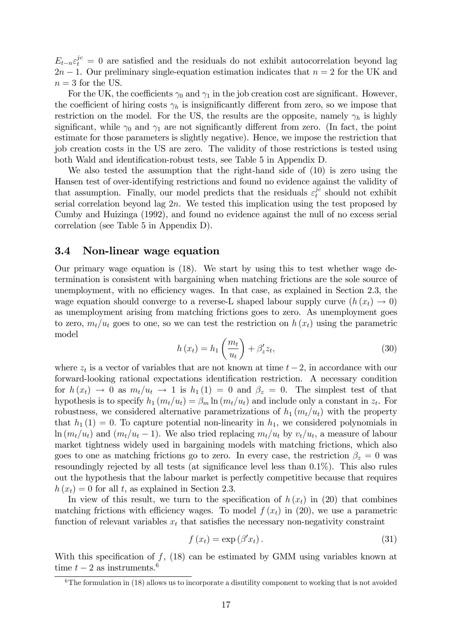$E_{t-n} \varepsilon_t^{jc} = 0$  are satisfied and the residuals do not exhibit autocorrelation beyond lag  $2n - 1$ . Our preliminary single-equation estimation indicates that  $n = 2$  for the UK and  $n = 3$  for the US.

For the UK, the coefficients  $\gamma_0$  and  $\gamma_1$  in the job creation cost are significant. However, the coefficient of hiring costs  $\gamma_h$  is insignificantly different from zero, so we impose that restriction on the model. For the US, the results are the opposite, namely  $\gamma_h$  is highly significant, while  $\gamma_0$  and  $\gamma_1$  are not significantly different from zero. (In fact, the point estimate for those parameters is slightly negative). Hence, we impose the restriction that job creation costs in the US are zero. The validity of those restrictions is tested using both Wald and identification-robust tests, see Table 5 in Appendix D.

We also tested the assumption that the right-hand side of (10) is zero using the Hansen test of over-identifying restrictions and found no evidence against the validity of that assumption. Finally, our model predicts that the residuals  $\varepsilon_t^{jc}$  $t<sup>yc</sup>$  should not exhibit serial correlation beyond lag  $2n$ . We tested this implication using the test proposed by Cumby and Huizinga (1992), and found no evidence against the null of no excess serial correlation (see Table 5 in Appendix D).

#### 3.4 Non-linear wage equation

Our primary wage equation is (18). We start by using this to test whether wage determination is consistent with bargaining when matching frictions are the sole source of unemployment, with no efficiency wages. In that case, as explained in Section 2.3, the wage equation should converge to a reverse-L shaped labour supply curve  $(h(x_t) \rightarrow 0)$ as unemployment arising from matching frictions goes to zero. As unemployment goes to zero,  $m_t/u_t$  goes to one, so we can test the restriction on  $h(x_t)$  using the parametric model

$$
h(x_t) = h_1\left(\frac{m_t}{u_t}\right) + \beta'_z z_t,
$$
\n(30)

where  $z_t$  is a vector of variables that are not known at time  $t - 2$ , in accordance with our forward-looking rational expectations identification restriction. A necessary condition for  $h(x_t) \to 0$  as  $m_t/u_t \to 1$  is  $h_1(1) = 0$  and  $\beta_z = 0$ . The simplest test of that hypothesis is to specify  $h_1(m_t/u_t) = \beta_m \ln (m_t/u_t)$  and include only a constant in  $z_t$ . For robustness, we considered alternative parametrizations of  $h_1(m_t/u_t)$  with the property that  $h_1 (1) = 0$ . To capture potential non-linearity in  $h_1$ , we considered polynomials in  $\ln (m_t/u_t)$  and  $(m_t/u_t - 1)$ . We also tried replacing  $m_t/u_t$  by  $v_t/u_t$ , a measure of labour market tightness widely used in bargaining models with matching frictions, which also goes to one as matching frictions go to zero. In every case, the restriction  $\beta_z = 0$  was resoundingly rejected by all tests (at significance level less than  $0.1\%$ ). This also rules out the hypothesis that the labour market is perfectly competitive because that requires  $h(x_t) = 0$  for all t, as explained in Section 2.3.

In view of this result, we turn to the specification of  $h(x_t)$  in (20) that combines matching frictions with efficiency wages. To model  $f(x_t)$  in (20), we use a parametric function of relevant variables  $x_t$  that satisfies the necessary non-negativity constraint

$$
f(x_t) = \exp(\beta' x_t). \tag{31}
$$

With this specification of  $f$ , (18) can be estimated by GMM using variables known at time  $t-2$  as instruments.<sup>6</sup>

 $6$ The formulation in (18) allows us to incorporate a disutility component to working that is not avoided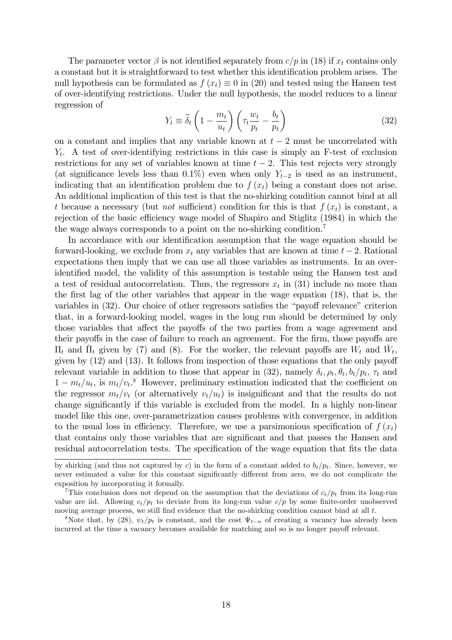The parameter vector  $\beta$  is not identified separately from  $c/p$  in (18) if  $x_t$  contains only a constant but it is straightforward to test whether this identification problem arises. The null hypothesis can be formulated as  $f(x_t) \equiv 0$  in (20) and tested using the Hansen test of over-identifying restrictions. Under the null hypothesis, the model reduces to a linear regression of

$$
Y_t \equiv \widetilde{\delta}_t \left( 1 - \frac{m_t}{u_t} \right) \left( \tau_t \frac{w_t}{p_t} - \frac{b_t}{p_t} \right)
$$
 (32)

on a constant and implies that any variable known at  $t-2$  must be uncorrelated with  $Y_t$ . A test of over-identifying restrictions in this case is simply an F-test of exclusion restrictions for any set of variables known at time  $t - 2$ . This test rejects very strongly (at significance levels less than 0.1%) even when only  $Y_{t-2}$  is used as an instrument, indicating that an identification problem due to  $f(x_t)$  being a constant does not arise. An additional implication of this test is that the no-shirking condition cannot bind at all t because a necessary (but *not* sufficient) condition for this is that  $f(x_t)$  is constant, a rejection of the basic efficiency wage model of Shapiro and Stiglitz (1984) in which the the wage always corresponds to a point on the no-shirking condition.<sup>7</sup>

In accordance with our identification assumption that the wage equation should be forward-looking, we exclude from  $x_t$  any variables that are known at time  $t-2$ . Rational expectations then imply that we can use all those variables as instruments. In an overidentified model, the validity of this assumption is testable using the Hansen test and a test of residual autocorrelation. Thus, the regressors  $x_t$  in (31) include no more than the first lag of the other variables that appear in the wage equation (18), that is, the variables in  $(32)$ . Our choice of other regressors satisfies the "payoff relevance" criterion that, in a forward-looking model, wages in the long run should be determined by only those variables that affect the payoffs of the two parties from a wage agreement and their payoffs in the case of failure to reach an agreement. For the firm, those payoffs are  $\Pi_t$  and  $\overline{\Pi}_t$  given by (7) and (8). For the worker, the relevant payoffs are  $W_t$  and  $\overline{W}_t$ , given by  $(12)$  and  $(13)$ . It follows from inspection of those equations that the only payoff relevant variable in addition to those that appear in (32), namely  $\delta_t$ ,  $\rho_t$ ,  $\theta_t$ ,  $b_t/p_t$ ,  $\tau_t$  and  $1 - m_t/u_t$ , is  $m_t/v_t$ .<sup>8</sup> However, preliminary estimation indicated that the coefficient on the regressor  $m_t/v_t$  (or alternatively  $v_t/u_t$ ) is insignificant and that the results do not change significantly if this variable is excluded from the model. In a highly non-linear model like this one, over-parametrization causes problems with convergence, in addition to the usual loss in efficiency. Therefore, we use a parsimonious specification of  $f(x_t)$ that contains only those variables that are significant and that passes the Hansen and residual autocorrelation tests. The specification of the wage equation that fits the data

by shirking (and thus not captured by c) in the form of a constant added to  $b_t/p_t$ . Since, however, we never estimated a value for this constant significantly different from zero, we do not complicate the exposition by incorporating it formally.

This conclusion does not depend on the assumption that the deviations of  $c_t/p_t$  from its long-run value are iid. Allowing  $c_t/p_t$  to deviate from its long-run value  $c/p$  by some finite-order unobserved moving average process, we still find evidence that the no-shirking condition cannot bind at all  $t$ .

<sup>&</sup>lt;sup>8</sup>Note that, by (28),  $\psi_t/p_t$  is constant, and the cost  $\Psi_{t-n}$  of creating a vacancy has already been incurred at the time a vacancy becomes available for matching and so is no longer payoff relevant.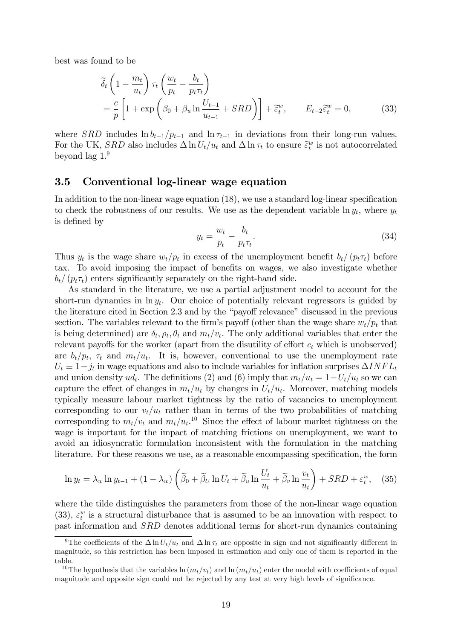best was found to be

$$
\widetilde{\delta}_t \left( 1 - \frac{m_t}{u_t} \right) \tau_t \left( \frac{w_t}{p_t} - \frac{b_t}{p_t \tau_t} \right) \n= \frac{c}{p} \left[ 1 + \exp \left( \beta_0 + \beta_u \ln \frac{U_{t-1}}{u_{t-1}} + SRD \right) \right] + \widetilde{\varepsilon}_t^w, \qquad E_{t-2} \widetilde{\varepsilon}_t^w = 0,
$$
\n(33)

where *SRD* includes  $\ln b_{t-1}/p_{t-1}$  and  $\ln \tau_{t-1}$  in deviations from their long-run values. For the UK,  $SRD$  also includes  $\Delta \ln U_t/u_t$  and  $\Delta \ln \tau_t$  to ensure  $\tilde{\epsilon}_t^w$  is not autocorrelated beyond lag 1.<sup>9</sup>

#### 3.5 Conventional log-linear wage equation

In addition to the non-linear wage equation  $(18)$ , we use a standard log-linear specification to check the robustness of our results. We use as the dependent variable  $\ln y_t$ , where  $y_t$ is defined by

$$
y_t = \frac{w_t}{p_t} - \frac{b_t}{p_t \tau_t}.\tag{34}
$$

Thus  $y_t$  is the wage share  $w_t/p_t$  in excess of the unemployment benefit  $b_t/(p_t\tau_t)$  before tax. To avoid imposing the impact of benefits on wages, we also investigate whether  $b_t/(p_t\tau_t)$  enters significantly separately on the right-hand side.

As standard in the literature, we use a partial adjustment model to account for the short-run dynamics in  $\ln y_t$ . Our choice of potentially relevant regressors is guided by the literature cited in Section  $2.3$  and by the "payoff relevance" discussed in the previous section. The variables relevant to the firm's payoff (other than the wage share  $w_t/p_t$  that is being determined) are  $\delta_t$ ,  $\rho_t$ ,  $\theta_t$  and  $m_t/v_t$ . The only additional variables that enter the relevant payoffs for the worker (apart from the disutility of effort  $c_t$  which is unobserved) are  $b_t/p_t$ ,  $\tau_t$  and  $m_t/u_t$ . It is, however, conventional to use the unemployment rate  $U_t \equiv 1-j_t$  in wage equations and also to include variables for inflation surprises  $\Delta INFL_t$ and union density  $ud_t$ . The definitions (2) and (6) imply that  $m_t/u_t = 1-U_t/u_t$  so we can capture the effect of changes in  $m_t/u_t$  by changes in  $U_t/u_t$ . Moreover, matching models typically measure labour market tightness by the ratio of vacancies to unemployment corresponding to our  $v_t/u_t$  rather than in terms of the two probabilities of matching corresponding to  $m_t/v_t$  and  $m_t/u_t$ .<sup>10</sup> Since the effect of labour market tightness on the wage is important for the impact of matching frictions on unemployment, we want to avoid an idiosyncratic formulation inconsistent with the formulation in the matching literature. For these reasons we use, as a reasonable encompassing specification, the form

$$
\ln y_t = \lambda_w \ln y_{t-1} + (1 - \lambda_w) \left( \tilde{\beta}_0 + \tilde{\beta}_U \ln U_t + \tilde{\beta}_u \ln \frac{U_t}{u_t} + \tilde{\beta}_v \ln \frac{v_t}{u_t} \right) + SRD + \varepsilon_t^w, \quad (35)
$$

where the tilde distinguishes the parameters from those of the non-linear wage equation (33),  $\varepsilon_t^w$  is a structural disturbance that is assumed to be an innovation with respect to past information and SRD denotes additional terms for short-run dynamics containing

<sup>&</sup>lt;sup>9</sup>The coefficients of the  $\Delta \ln U_t/u_t$  and  $\Delta \ln \tau_t$  are opposite in sign and not significantly different in magnitude, so this restriction has been imposed in estimation and only one of them is reported in the table.

<sup>&</sup>lt;sup>10</sup>The hypothesis that the variables  $\ln (m_t/v_t)$  and  $\ln (m_t/u_t)$  enter the model with coefficients of equal magnitude and opposite sign could not be rejected by any test at very high levels of significance.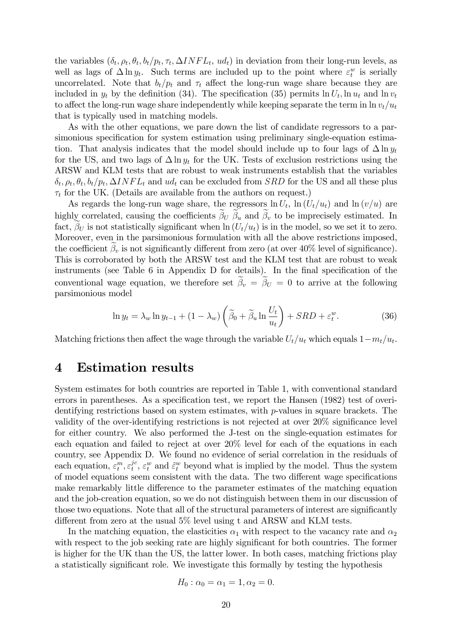the variables  $(\delta_t, \rho_t, \theta_t, b_t/p_t, \tau_t, \Delta INFL_t, ud_t)$  in deviation from their long-run levels, as well as lags of  $\Delta \ln y_t$ . Such terms are included up to the point where  $\varepsilon_t^w$  is serially uncorrelated. Note that  $b_t/p_t$  and  $\tau_t$  affect the long-run wage share because they are included in  $y_t$  by the definition (34). The specification (35) permits  $\ln U_t$ ,  $\ln u_t$  and  $\ln v_t$ to affect the long-run wage share independently while keeping separate the term in  $\ln v_t/u_t$ that is typically used in matching models.

As with the other equations, we pare down the list of candidate regressors to a parsimonious specification for system estimation using preliminary single-equation estimation. That analysis indicates that the model should include up to four lags of  $\Delta \ln y_t$ for the US, and two lags of  $\Delta \ln y_t$  for the UK. Tests of exclusion restrictions using the ARSW and KLM tests that are robust to weak instruments establish that the variables  $\delta_t$ ,  $\rho_t$ ,  $\theta_t$ ,  $b_t/p_t$ ,  $\Delta INFL_t$  and  $ud_t$  can be excluded from *SRD* for the US and all these plus  $\tau_t$  for the UK. (Details are available from the authors on request.)

As regards the long-run wage share, the regressors  $\ln U_t$ ,  $\ln (U_t/u_t)$  and  $\ln (v/u)$  are highly correlated, causing the coefficients  $\beta_U$   $\beta_u$  and  $\beta_v$  to be imprecisely estimated. In fact,  $\beta_U$  is not statistically significant when  $\ln(U_t/u_t)$  is in the model, so we set it to zero. Moreover, even in the parsimonious formulation with all the above restrictions imposed, the coefficient  $\beta_v$  is not significantly different from zero (at over 40% level of significance). This is corroborated by both the ARSW test and the KLM test that are robust to weak instruments (see Table  $6$  in Appendix D for details). In the final specification of the conventional wage equation, we therefore set  $\beta_v = \beta_U = 0$  to arrive at the following parsimonious model

$$
\ln y_t = \lambda_w \ln y_{t-1} + (1 - \lambda_w) \left( \tilde{\beta}_0 + \tilde{\beta}_u \ln \frac{U_t}{u_t} \right) + SRD + \varepsilon_t^w. \tag{36}
$$

Matching frictions then affect the wage through the variable  $U_t/u_t$  which equals  $1-m_t/u_t$ .

### 4 Estimation results

System estimates for both countries are reported in Table 1, with conventional standard errors in parentheses. As a specification test, we report the Hansen (1982) test of overidentifying restrictions based on system estimates, with p-values in square brackets. The validity of the over-identifying restrictions is not rejected at over  $20\%$  significance level for either country. We also performed the J-test on the single-equation estimates for each equation and failed to reject at over 20% level for each of the equations in each country, see Appendix D. We found no evidence of serial correlation in the residuals of each equation,  $\varepsilon_t^m, \varepsilon_t^{jc}$  $\hat{t}^c$ ,  $\varepsilon_t^w$  and  $\tilde{\varepsilon}_t^w$  beyond what is implied by the model. Thus the system of model equations seem consistent with the data. The two different wage specifications make remarkably little difference to the parameter estimates of the matching equation and the job-creation equation, so we do not distinguish between them in our discussion of those two equations. Note that all of the structural parameters of interest are significantly different from zero at the usual  $5\%$  level using t and ARSW and KLM tests.

In the matching equation, the elasticities  $\alpha_1$  with respect to the vacancy rate and  $\alpha_2$ with respect to the job seeking rate are highly significant for both countries. The former is higher for the UK than the US, the latter lower. In both cases, matching frictions play a statistically significant role. We investigate this formally by testing the hypothesis

$$
H_0: \alpha_0 = \alpha_1 = 1, \alpha_2 = 0.
$$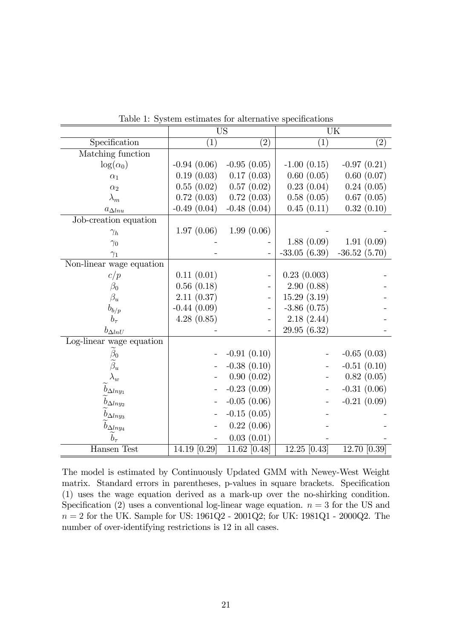|                                                 | $\overline{US}$ |               | $\overline{\text{UK}}$ |                |  |
|-------------------------------------------------|-----------------|---------------|------------------------|----------------|--|
| Specification                                   | (1)             | (2)           | (1)                    | (2)            |  |
| Matching function                               |                 |               |                        |                |  |
| $\log(\alpha_0)$                                | $-0.94(0.06)$   | $-0.95(0.05)$ | $-1.00(0.15)$          | $-0.97(0.21)$  |  |
| $\alpha_1$                                      | 0.19(0.03)      | 0.17(0.03)    | 0.60(0.05)             | 0.60(0.07)     |  |
| $\alpha_2$                                      | 0.55(0.02)      | 0.57(0.02)    | 0.23(0.04)             | 0.24(0.05)     |  |
| $\lambda_m$                                     | 0.72(0.03)      | 0.72(0.03)    | 0.58(0.05)             | 0.67(0.05)     |  |
| $a_{\Delta l n u}$                              | $-0.49(0.04)$   | $-0.48(0.04)$ | 0.45(0.11)             | 0.32(0.10)     |  |
| Job-creation equation                           |                 |               |                        |                |  |
| $\gamma_h$                                      | 1.97(0.06)      | 1.99(0.06)    |                        |                |  |
| $\gamma_0$                                      |                 |               | 1.88(0.09)             | 1.91(0.09)     |  |
| $\gamma_1$                                      |                 |               | $-33.05(6.39)$         | $-36.52(5.70)$ |  |
| Non-linear wage equation                        |                 |               |                        |                |  |
| c/p                                             | 0.11(0.01)      |               | 0.23(0.003)            |                |  |
| $\beta_0$                                       | 0.56(0.18)      |               | 2.90(0.88)             |                |  |
| $\beta_u$                                       | 2.11(0.37)      |               | 15.29(3.19)            |                |  |
| $b_{b/p}$                                       | $-0.44(0.09)$   |               | $-3.86$ $(0.75)$       |                |  |
| $b_\tau$                                        | 4.28(0.85)      |               | 2.18(2.44)             |                |  |
| $b_{\Delta ln U}$                               |                 |               | 29.95 (6.32)           |                |  |
| Log-linear wage equation                        |                 |               |                        |                |  |
|                                                 |                 | $-0.91(0.10)$ |                        | $-0.65(0.03)$  |  |
| $\widetilde{\beta}_0 \atop \widetilde{\beta}_u$ |                 | $-0.38(0.10)$ |                        | $-0.51(0.10)$  |  |
| $\lambda_w$                                     |                 | 0.90(0.02)    |                        | 0.82(0.05)     |  |
| $b_{\Delta l n y_1}$                            |                 | $-0.23(0.09)$ |                        | $-0.31(0.06)$  |  |
| $b_{\Delta lny_2}$                              |                 | $-0.05(0.06)$ |                        | $-0.21(0.09)$  |  |
| $b_{\Delta lny_3}$                              |                 | $-0.15(0.05)$ |                        |                |  |
| $b_{\Delta ln y_4}$                             |                 | 0.22(0.06)    |                        |                |  |
| $b_\tau$                                        |                 | 0.03(0.01)    |                        |                |  |
| Hansen Test                                     | 14.19 [0.29]    | 11.62 [0.48]  | $12.25$ [0.43]         | 12.70 [0.39]   |  |

Table 1: System estimates for alternative specifications

The model is estimated by Continuously Updated GMM with Newey-West Weight matrix. Standard errors in parentheses, p-values in square brackets. Specification (1) uses the wage equation derived as a mark-up over the no-shirking condition. Specification (2) uses a conventional log-linear wage equation.  $n = 3$  for the US and  $n = 2$  for the UK. Sample for US: 1961Q2 - 2001Q2; for UK: 1981Q1 - 2000Q2. The number of over-identifying restrictions is 12 in all cases.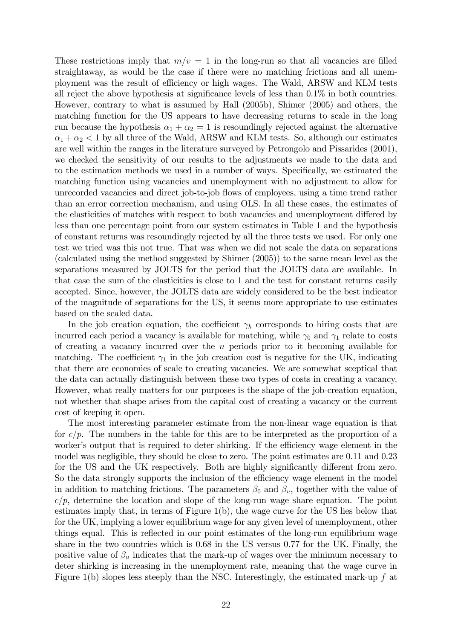These restrictions imply that  $m/v = 1$  in the long-run so that all vacancies are filled straightaway, as would be the case if there were no matching frictions and all unemployment was the result of efficiency or high wages. The Wald, ARSW and KLM tests all reject the above hypothesis at significance levels of less than  $0.1\%$  in both countries. However, contrary to what is assumed by Hall (2005b), Shimer (2005) and others, the matching function for the US appears to have decreasing returns to scale in the long run because the hypothesis  $\alpha_1 + \alpha_2 = 1$  is resoundingly rejected against the alternative  $\alpha_1 + \alpha_2 < 1$  by all three of the Wald, ARSW and KLM tests. So, although our estimates are well within the ranges in the literature surveyed by Petrongolo and Pissarides (2001), we checked the sensitivity of our results to the adjustments we made to the data and to the estimation methods we used in a number of ways. Specifically, we estimated the matching function using vacancies and unemployment with no adjustment to allow for unrecorded vacancies and direct job-to-job áows of employees, using a time trend rather than an error correction mechanism, and using OLS. In all these cases, the estimates of the elasticities of matches with respect to both vacancies and unemployment differed by less than one percentage point from our system estimates in Table 1 and the hypothesis of constant returns was resoundingly rejected by all the three tests we used. For only one test we tried was this not true. That was when we did not scale the data on separations (calculated using the method suggested by Shimer (2005)) to the same mean level as the separations measured by JOLTS for the period that the JOLTS data are available. In that case the sum of the elasticities is close to 1 and the test for constant returns easily accepted. Since, however, the JOLTS data are widely considered to be the best indicator of the magnitude of separations for the US, it seems more appropriate to use estimates based on the scaled data.

In the job creation equation, the coefficient  $\gamma_h$  corresponds to hiring costs that are incurred each period a vacancy is available for matching, while  $\gamma_0$  and  $\gamma_1$  relate to costs of creating a vacancy incurred over the  $n$  periods prior to it becoming available for matching. The coefficient  $\gamma_1$  in the job creation cost is negative for the UK, indicating that there are economies of scale to creating vacancies. We are somewhat sceptical that the data can actually distinguish between these two types of costs in creating a vacancy. However, what really matters for our purposes is the shape of the job-creation equation, not whether that shape arises from the capital cost of creating a vacancy or the current cost of keeping it open.

The most interesting parameter estimate from the non-linear wage equation is that for  $c/p$ . The numbers in the table for this are to be interpreted as the proportion of a worker's output that is required to deter shirking. If the efficiency wage element in the model was negligible, they should be close to zero. The point estimates are 0.11 and 0.23 for the US and the UK respectively. Both are highly significantly different from zero. So the data strongly supports the inclusion of the efficiency wage element in the model in addition to matching frictions. The parameters  $\beta_0$  and  $\beta_u$ , together with the value of  $c/p$ , determine the location and slope of the long-run wage share equation. The point estimates imply that, in terms of Figure 1(b), the wage curve for the US lies below that for the UK, implying a lower equilibrium wage for any given level of unemployment, other things equal. This is reflected in our point estimates of the long-run equilibrium wage share in the two countries which is 0.68 in the US versus 0.77 for the UK. Finally, the positive value of  $\beta_u$  indicates that the mark-up of wages over the minimum necessary to deter shirking is increasing in the unemployment rate, meaning that the wage curve in Figure 1(b) slopes less steeply than the NSC. Interestingly, the estimated mark-up  $f$  at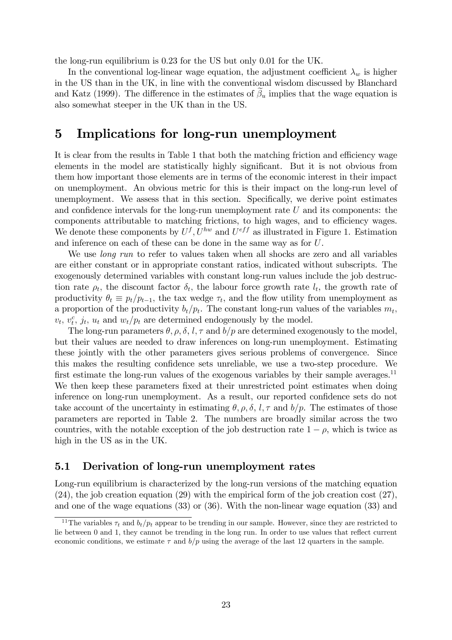the long-run equilibrium is 0.23 for the US but only 0.01 for the UK.

In the conventional log-linear wage equation, the adjustment coefficient  $\lambda_w$  is higher in the US than in the UK, in line with the conventional wisdom discussed by Blanchard and Katz (1999). The difference in the estimates of  $\beta_u$  implies that the wage equation is also somewhat steeper in the UK than in the US.

### 5 Implications for long-run unemployment

It is clear from the results in Table 1 that both the matching friction and efficiency wage elements in the model are statistically highly significant. But it is not obvious from them how important those elements are in terms of the economic interest in their impact on unemployment. An obvious metric for this is their impact on the long-run level of unemployment. We assess that in this section. Specifically, we derive point estimates and confidence intervals for the long-run unemployment rate  $U$  and its components: the components attributable to matching frictions, to high wages, and to efficiency wages. We denote these components by  $U^f, U^{hw}$  and  $U^{eff}$  as illustrated in Figure 1. Estimation and inference on each of these can be done in the same way as for U.

We use *long run* to refer to values taken when all shocks are zero and all variables are either constant or in appropriate constant ratios, indicated without subscripts. The exogenously determined variables with constant long-run values include the job destruction rate  $\rho_t$ , the discount factor  $\delta_t$ , the labour force growth rate  $l_t$ , the growth rate of productivity  $\theta_t \equiv p_t/p_{t-1}$ , the tax wedge  $\tau_t$ , and the flow utility from unemployment as a proportion of the productivity  $b_t/p_t$ . The constant long-run values of the variables  $m_t$ ,  $v_t, v_t^c, j_t, u_t$  and  $w_t/p_t$  are determined endogenously by the model.

The long-run parameters  $\theta$ ,  $\rho$ ,  $\delta$ ,  $l$ ,  $\tau$  and  $b/p$  are determined exogenously to the model, but their values are needed to draw inferences on long-run unemployment. Estimating these jointly with the other parameters gives serious problems of convergence. Since this makes the resulting confidence sets unreliable, we use a two-step procedure. We first estimate the long-run values of the exogenous variables by their sample averages.<sup>11</sup> We then keep these parameters fixed at their unrestricted point estimates when doing inference on long-run unemployment. As a result, our reported confidence sets do not take account of the uncertainty in estimating  $\theta$ ,  $\rho$ ,  $\delta$ ,  $l$ ,  $\tau$  and  $b/p$ . The estimates of those parameters are reported in Table 2. The numbers are broadly similar across the two countries, with the notable exception of the job destruction rate  $1 - \rho$ , which is twice as high in the US as in the UK.

#### 5.1 Derivation of long-run unemployment rates

Long-run equilibrium is characterized by the long-run versions of the matching equation (24), the job creation equation (29) with the empirical form of the job creation cost (27), and one of the wage equations (33) or (36). With the non-linear wage equation (33) and

<sup>&</sup>lt;sup>11</sup>The variables  $\tau_t$  and  $b_t/p_t$  appear to be trending in our sample. However, since they are restricted to lie between 0 and 1, they cannot be trending in the long run. In order to use values that reflect current economic conditions, we estimate  $\tau$  and  $b/p$  using the average of the last 12 quarters in the sample.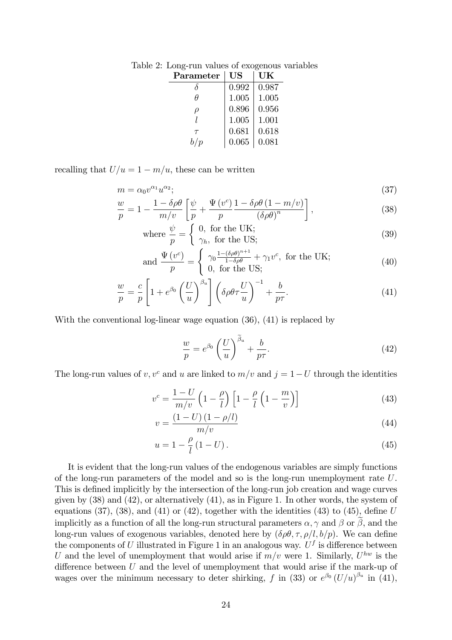| Parameter | $\boldsymbol{\mathrm{US}}$ | UK    |
|-----------|----------------------------|-------|
|           | 0.992                      | 0.987 |
| Ĥ         | 1.005                      | 1.005 |
|           | 0.896                      | 0.956 |
|           | 1.005                      | 1.001 |
| $\tau$    | 0.681                      | 0.618 |
| b/p       | 0.065                      | 0.081 |

Table 2: Long-run values of exogenous variables

recalling that  $U/u = 1 - m/u$ , these can be written

$$
m = \alpha_0 v^{\alpha_1} u^{\alpha_2};\tag{37}
$$

$$
\frac{w}{p} = 1 - \frac{1 - \delta \rho \theta}{m/v} \left[ \frac{\psi}{p} + \frac{\Psi(v^c)}{p} \frac{1 - \delta \rho \theta (1 - m/v)}{(\delta \rho \theta)^n} \right],
$$
\n(38)

where 
$$
\frac{\psi}{p} = \begin{cases} 0, & \text{for the UK;} \\ \gamma_h, & \text{for the US;} \end{cases}
$$
 (39)

and 
$$
\frac{\Psi(v^c)}{p} = \begin{cases} \gamma_0 \frac{1 - (\delta \rho \theta)^{n+1}}{1 - \delta \rho \theta} + \gamma_1 v^c, & \text{for the UK;} \\ 0, & \text{for the US;} \end{cases}
$$
 (40)

$$
\frac{w}{p} = \frac{c}{p} \left[ 1 + e^{\beta_0} \left( \frac{U}{u} \right)^{\beta_u} \right] \left( \delta \rho \theta \tau \frac{U}{u} \right)^{-1} + \frac{b}{p\tau}.
$$
\n(41)

With the conventional log-linear wage equation (36), (41) is replaced by

$$
\frac{w}{p} = e^{\beta_0} \left(\frac{U}{u}\right)^{\beta_u} + \frac{b}{p\tau}.\tag{42}
$$

The long-run values of v, v<sup>c</sup> and u are linked to  $m/v$  and  $j = 1-U$  through the identities

$$
v^{c} = \frac{1-U}{m/v} \left(1 - \frac{\rho}{l}\right) \left[1 - \frac{\rho}{l} \left(1 - \frac{m}{v}\right)\right]
$$
(43)

$$
v = \frac{(1 - U)(1 - \rho/l)}{m/v} \tag{44}
$$

$$
u = 1 - \frac{\rho}{l} \left( 1 - U \right). \tag{45}
$$

It is evident that the long-run values of the endogenous variables are simply functions of the long-run parameters of the model and so is the long-run unemployment rate U. This is defined implicitly by the intersection of the long-run job creation and wage curves given by  $(38)$  and  $(42)$ , or alternatively  $(41)$ , as in Figure 1. In other words, the system of equations (37), (38), and (41) or (42), together with the identities (43) to (45), define  $U$ implicitly as a function of all the long-run structural parameters  $\alpha, \gamma$  and  $\beta$  or  $\beta$ , and the long-run values of exogenous variables, denoted here by  $(\delta \rho \theta, \tau, \rho/l, b/p)$ . We can define the components of U illustrated in Figure 1 in an analogous way.  $U^f$  is difference between U and the level of unemployment that would arise if  $m/v$  were 1. Similarly,  $U^{hw}$  is the difference between  $U$  and the level of unemployment that would arise if the mark-up of wages over the minimum necessary to deter shirking, f in (33) or  $e^{\beta_0} (U/u)^{\beta_u}$  in (41),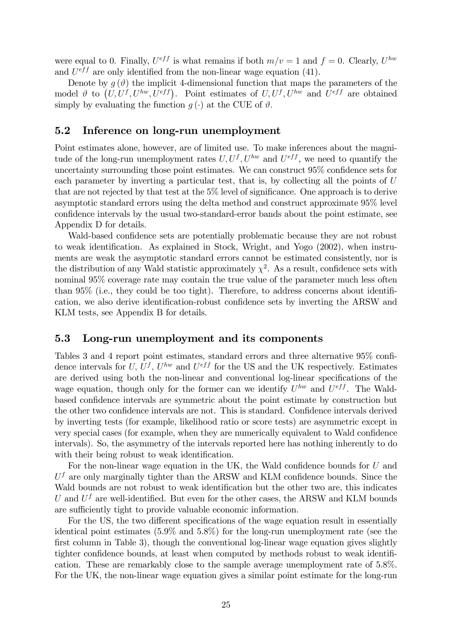were equal to 0. Finally,  $U^{eff}$  is what remains if both  $m/v = 1$  and  $f = 0$ . Clearly,  $U^{hw}$ and  $U^{eff}$  are only identified from the non-linear wage equation (41).

Denote by  $g(\vartheta)$  the implicit 4-dimensional function that maps the parameters of the model  $\vartheta$  to  $(U, U^f, U^{hw}, U^{eff})$ . Point estimates of  $U, U^f, U^{hw}$  and  $U^{eff}$  are obtained simply by evaluating the function  $q(\cdot)$  at the CUE of  $\vartheta$ .

### 5.2 Inference on long-run unemployment

Point estimates alone, however, are of limited use. To make inferences about the magnitude of the long-run unemployment rates  $U, U^f, U^{hw}$  and  $U^{eff}$ , we need to quantify the uncertainty surrounding those point estimates. We can construct  $95\%$  confidence sets for each parameter by inverting a particular test, that is, by collecting all the points of U that are not rejected by that test at the  $5\%$  level of significance. One approach is to derive asymptotic standard errors using the delta method and construct approximate 95% level confidence intervals by the usual two-standard-error bands about the point estimate, see Appendix D for details.

Wald-based confidence sets are potentially problematic because they are not robust to weak identification. As explained in Stock, Wright, and Yogo (2002), when instruments are weak the asymptotic standard errors cannot be estimated consistently, nor is the distribution of any Wald statistic approximately  $\chi^2$ . As a result, confidence sets with nominal 95% coverage rate may contain the true value of the parameter much less often than  $95\%$  (i.e., they could be too tight). Therefore, to address concerns about identification, we also derive identification-robust confidence sets by inverting the ARSW and KLM tests, see Appendix B for details.

#### 5.3 Long-run unemployment and its components

Tables 3 and 4 report point estimates, standard errors and three alternative  $95\%$  confidence intervals for U,  $U^f$ ,  $U^{hw}$  and  $U^{eff}$  for the US and the UK respectively. Estimates are derived using both the non-linear and conventional log-linear specifications of the wage equation, though only for the former can we identify  $U^{hw}$  and  $U^{eff}$ . The Waldbased confidence intervals are symmetric about the point estimate by construction but the other two confidence intervals are not. This is standard. Confidence intervals derived by inverting tests (for example, likelihood ratio or score tests) are asymmetric except in very special cases (for example, when they are numerically equivalent to Wald confidence intervals). So, the asymmetry of the intervals reported here has nothing inherently to do with their being robust to weak identification.

For the non-linear wage equation in the UK, the Wald confidence bounds for  $U$  and  $U<sup>f</sup>$  are only marginally tighter than the ARSW and KLM confidence bounds. Since the Wald bounds are not robust to weak identification but the other two are, this indicates U and  $U^f$  are well-identified. But even for the other cases, the ARSW and KLM bounds are sufficiently tight to provide valuable economic information.

For the US, the two different specifications of the wage equation result in essentially identical point estimates (5.9% and 5.8%) for the long-run unemployment rate (see the first column in Table 3), though the conventional log-linear wage equation gives slightly tighter confidence bounds, at least when computed by methods robust to weak identification. These are remarkably close to the sample average unemployment rate of 5.8%. For the UK, the non-linear wage equation gives a similar point estimate for the long-run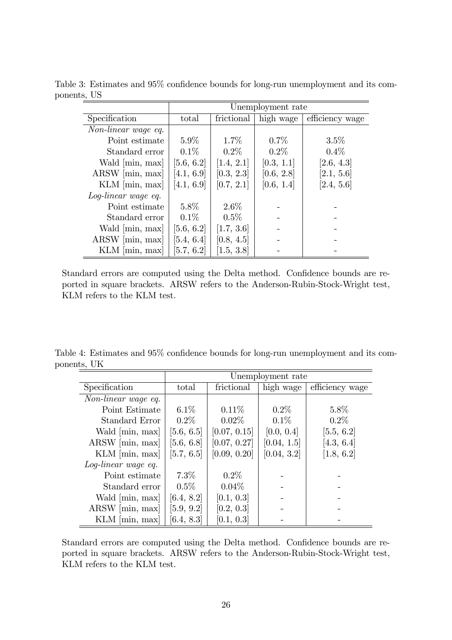|                     | Unemployment rate |            |            |                 |
|---------------------|-------------------|------------|------------|-----------------|
| Specification       | total             | frictional | high wage  | efficiency wage |
| Non-linear wage eq. |                   |            |            |                 |
| Point estimate      | $5.9\%$           | $1.7\%$    | $0.7\%$    | $3.5\%$         |
| Standard error      | $0.1\%$           | $0.2\%$    | $0.2\%$    | $0.4\%$         |
| Wald [min, max]     | [5.6, 6.2]        | [1.4, 2.1] | [0.3, 1.1] | [2.6, 4.3]      |
| $ARSW$ [min, max]   | [4.1, 6.9]        | [0.3, 2.3] | [0.6, 2.8] | [2.1, 5.6]      |
| $KLM$ [min, max]    | [4.1, 6.9]        | [0.7, 2.1] | [0.6, 1.4] | [2.4, 5.6]      |
| Log-linear wage eq. |                   |            |            |                 |
| Point estimate      | $5.8\%$           | $2.6\%$    |            |                 |
| Standard error      | $0.1\%$           | $0.5\%$    |            |                 |
| Wald [min, max]     | [5.6, 6.2]        | [1.7, 3.6] |            |                 |
| ARSW [min, max]     | [5.4, 6.4]        | [0.8, 4.5] |            |                 |
| $KLM$ [min, max]    | [5.7, 6.2]        | [1.5, 3.8] |            |                 |

Table 3: Estimates and  $95\%$  confidence bounds for long-run unemployment and its components, US

Standard errors are computed using the Delta method. Confidence bounds are reported in square brackets. ARSW refers to the Anderson-Rubin-Stock-Wright test, KLM refers to the KLM test.

Table 4: Estimates and 95% confidence bounds for long-run unemployment and its components, UK

|                     | Unemployment rate |              |             |                 |
|---------------------|-------------------|--------------|-------------|-----------------|
| Specification       | total             | frictional   | high wage   | efficiency wage |
| Non-linear wage eq. |                   |              |             |                 |
| Point Estimate      | $6.1\%$           | $0.11\%$     | $0.2\%$     | $5.8\%$         |
| Standard Error      | $0.2\%$           | $0.02\%$     | $0.1\%$     | $0.2\%$         |
| Wald [min, max]     | [5.6, 6.5]        | [0.07, 0.15] | [0.0, 0.4]  | [5.5, 6.2]      |
| $ARSW$ [min, max]   | [5.6, 6.8]        | [0.07, 0.27] | [0.04, 1.5] | [4.3, 6.4]      |
| $KLM$ [min, max]    | [5.7, 6.5]        | [0.09, 0.20] | [0.04, 3.2] | [1.8, 6.2]      |
| Log-linear wage eq. |                   |              |             |                 |
| Point estimate      | $7.3\%$           | $0.2\%$      |             |                 |
| Standard error      | $0.5\%$           | $0.04\%$     |             |                 |
| Wald [min, max]     | [6.4, 8.2]        | [0.1, 0.3]   |             |                 |
| $ARSW$ [min, max]   | [5.9, 9.2]        | [0.2, 0.3]   |             |                 |
| $KLM$ [min, max]    | [6.4, 8.3]        | [0.1, 0.3]   |             |                 |

Standard errors are computed using the Delta method. Confidence bounds are reported in square brackets. ARSW refers to the Anderson-Rubin-Stock-Wright test, KLM refers to the KLM test.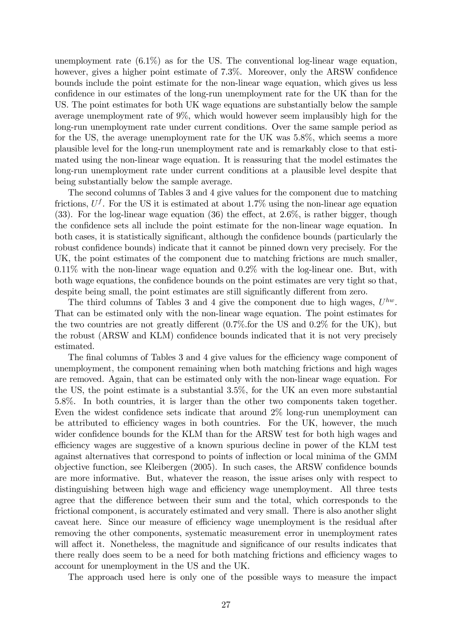unemployment rate  $(6.1\%)$  as for the US. The conventional log-linear wage equation, however, gives a higher point estimate of  $7.3\%$ . Moreover, only the ARSW confidence bounds include the point estimate for the non-linear wage equation, which gives us less confidence in our estimates of the long-run unemployment rate for the UK than for the US. The point estimates for both UK wage equations are substantially below the sample average unemployment rate of 9%, which would however seem implausibly high for the long-run unemployment rate under current conditions. Over the same sample period as for the US, the average unemployment rate for the UK was 5.8%, which seems a more plausible level for the long-run unemployment rate and is remarkably close to that estimated using the non-linear wage equation. It is reassuring that the model estimates the long-run unemployment rate under current conditions at a plausible level despite that being substantially below the sample average.

The second columns of Tables 3 and 4 give values for the component due to matching frictions,  $U^f$ . For the US it is estimated at about 1.7% using the non-linear age equation (33). For the log-linear wage equation (36) the effect, at  $2.6\%$ , is rather bigger, though the confidence sets all include the point estimate for the non-linear wage equation. In both cases, it is statistically significant, although the confidence bounds (particularly the robust confidence bounds) indicate that it cannot be pinned down very precisely. For the UK, the point estimates of the component due to matching frictions are much smaller, 0.11% with the non-linear wage equation and 0.2% with the log-linear one. But, with both wage equations, the confidence bounds on the point estimates are very tight so that, despite being small, the point estimates are still significantly different from zero.

The third columns of Tables 3 and 4 give the component due to high wages,  $U^{hw}$ . That can be estimated only with the non-linear wage equation. The point estimates for the two countries are not greatly different  $(0.7\%$  for the US and  $0.2\%$  for the UK), but the robust (ARSW and KLM) confidence bounds indicated that it is not very precisely estimated.

The final columns of Tables 3 and 4 give values for the efficiency wage component of unemployment, the component remaining when both matching frictions and high wages are removed. Again, that can be estimated only with the non-linear wage equation. For the US, the point estimate is a substantial 3.5%, for the UK an even more substantial 5.8%. In both countries, it is larger than the other two components taken together. Even the widest confidence sets indicate that around  $2\%$  long-run unemployment can be attributed to efficiency wages in both countries. For the UK, however, the much wider confidence bounds for the KLM than for the ARSW test for both high wages and efficiency wages are suggestive of a known spurious decline in power of the KLM test against alternatives that correspond to points of ináection or local minima of the GMM  $\omega$ bjective function, see Kleibergen (2005). In such cases, the ARSW confidence bounds are more informative. But, whatever the reason, the issue arises only with respect to distinguishing between high wage and efficiency wage unemployment. All three tests agree that the difference between their sum and the total, which corresponds to the frictional component, is accurately estimated and very small. There is also another slight caveat here. Since our measure of efficiency wage unemployment is the residual after removing the other components, systematic measurement error in unemployment rates will affect it. Nonetheless, the magnitude and significance of our results indicates that there really does seem to be a need for both matching frictions and efficiency wages to account for unemployment in the US and the UK.

The approach used here is only one of the possible ways to measure the impact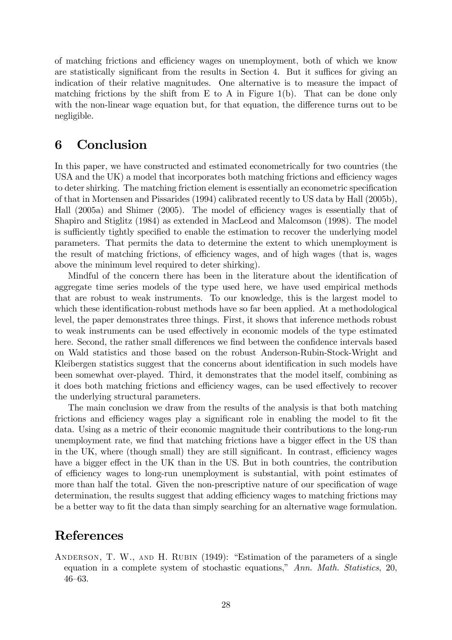of matching frictions and efficiency wages on unemployment, both of which we know are statistically significant from the results in Section 4. But it suffices for giving an indication of their relative magnitudes. One alternative is to measure the impact of matching frictions by the shift from E to A in Figure 1(b). That can be done only with the non-linear wage equation but, for that equation, the difference turns out to be negligible.

### 6 Conclusion

In this paper, we have constructed and estimated econometrically for two countries (the  $USA$  and the UK) a model that incorporates both matching frictions and efficiency wages to deter shirking. The matching friction element is essentially an econometric specification of that in Mortensen and Pissarides (1994) calibrated recently to US data by Hall (2005b), Hall  $(2005a)$  and Shimer  $(2005)$ . The model of efficiency wages is essentially that of Shapiro and Stiglitz (1984) as extended in MacLeod and Malcomson (1998). The model is sufficiently tightly specified to enable the estimation to recover the underlying model parameters. That permits the data to determine the extent to which unemployment is the result of matching frictions, of efficiency wages, and of high wages (that is, wages above the minimum level required to deter shirking).

Mindful of the concern there has been in the literature about the identification of aggregate time series models of the type used here, we have used empirical methods that are robust to weak instruments. To our knowledge, this is the largest model to which these identification-robust methods have so far been applied. At a methodological level, the paper demonstrates three things. First, it shows that inference methods robust to weak instruments can be used effectively in economic models of the type estimated here. Second, the rather small differences we find between the confidence intervals based on Wald statistics and those based on the robust Anderson-Rubin-Stock-Wright and Kleibergen statistics suggest that the concerns about identification in such models have been somewhat over-played. Third, it demonstrates that the model itself, combining as it does both matching frictions and efficiency wages, can be used effectively to recover the underlying structural parameters.

The main conclusion we draw from the results of the analysis is that both matching frictions and efficiency wages play a significant role in enabling the model to fit the data. Using as a metric of their economic magnitude their contributions to the long-run unemployment rate, we find that matching frictions have a bigger effect in the US than in the UK, where (though small) they are still significant. In contrast, efficiency wages have a bigger effect in the UK than in the US. But in both countries, the contribution of efficiency wages to long-run unemployment is substantial, with point estimates of more than half the total. Given the non-prescriptive nature of our specification of wage determination, the results suggest that adding efficiency wages to matching frictions may be a better way to fit the data than simply searching for an alternative wage formulation.

### References

ANDERSON, T. W., AND H. RUBIN  $(1949)$ : "Estimation of the parameters of a single equation in a complete system of stochastic equations," Ann. Math. Statistics, 20,  $46 - 63$ .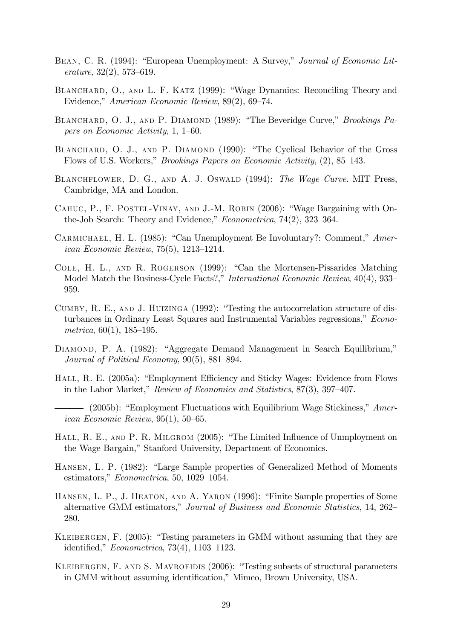- BEAN, C. R. (1994): "European Unemployment: A Survey," Journal of Economic Lit $erature, 32(2), 573–619.$
- BLANCHARD, O., AND L. F. KATZ (1999): "Wage Dynamics: Reconciling Theory and Evidence," American Economic Review, 89(2), 69–74.
- BLANCHARD, O. J., AND P. DIAMOND (1989): "The Beveridge Curve," Brookings Papers on Economic Activity,  $1, 1-60$ .
- BLANCHARD, O. J., AND P. DIAMOND (1990): "The Cyclical Behavior of the Gross Flows of U.S. Workers," *Brookings Papers on Economic Activity*, (2), 85–143.
- BLANCHFLOWER, D. G., AND A. J. OSWALD (1994): The Wage Curve. MIT Press, Cambridge, MA and London.
- CAHUC, P., F. POSTEL-VINAY, AND J.-M. ROBIN (2006): "Wage Bargaining with Onthe-Job Search: Theory and Evidence,"  $Econometrica$ , 74(2), 323–364.
- CARMICHAEL, H. L. (1985): "Can Unemployment Be Involuntary?: Comment,"  $American$ *ican Economic Review*,  $75(5)$ ,  $1213-1214$ .
- COLE, H. L., AND R. ROGERSON (1999): "Can the Mortensen-Pissarides Matching Model Match the Business-Cycle Facts?," International Economic Review,  $40(4)$ , 933– 959.
- CUMBY, R. E., AND J. HUIZINGA  $(1992)$ : "Testing the autocorrelation structure of disturbances in Ordinary Least Squares and Instrumental Variables regressions," Econometrica,  $60(1)$ , 185–195.
- DIAMOND, P. A. (1982): "Aggregate Demand Management in Search Equilibrium," Journal of Political Economy,  $90(5)$ ,  $881-894$ .
- HALL, R. E. (2005a): "Employment Efficiency and Sticky Wages: Evidence from Flows in the Labor Market," Review of Economics and Statistics,  $87(3)$ ,  $397-407$ .
- (2005b): "Employment Fluctuations with Equilibrium Wage Stickiness,"  $Amer$ ican Economic Review,  $95(1)$ ,  $50-65$ .
- HALL, R. E., AND P. R. MILGROM  $(2005)$ : "The Limited Influence of Unmployment on the Wage Bargain," Stanford University, Department of Economics.
- HANSEN, L. P. (1982): "Large Sample properties of Generalized Method of Moments estimators,"  $Econometrica$ , 50, 1029-1054.
- HANSEN, L. P., J. HEATON, AND A. YARON (1996): "Finite Sample properties of Some alternative GMM estimators," Journal of Business and Economic Statistics, 14, 262– 280.
- KLEIBERGEN, F.  $(2005)$ : "Testing parameters in GMM without assuming that they are identified,"  $Econometrica$ , 73(4), 1103-1123.
- KLEIBERGEN, F. AND S. MAVROEIDIS (2006): "Testing subsets of structural parameters in GMM without assuming identification," Mimeo, Brown University, USA.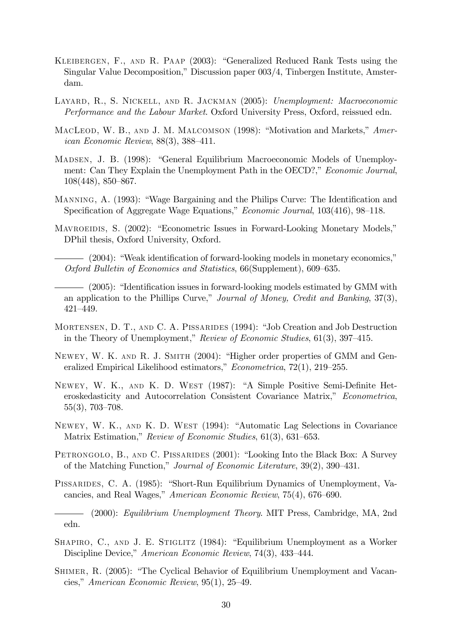- KLEIBERGEN, F., AND R. PAAP (2003): "Generalized Reduced Rank Tests using the Singular Value Decomposition," Discussion paper 003/4, Tinbergen Institute, Amsterdam.
- Layard, R., S. Nickell, and R. Jackman (2005): Unemployment: Macroeconomic Performance and the Labour Market. Oxford University Press, Oxford, reissued edn.
- MACLEOD, W. B., AND J. M. MALCOMSON (1998): "Motivation and Markets," American Economic Review,  $88(3)$ ,  $388-411$ .
- MADSEN, J. B. (1998): "General Equilibrium Macroeconomic Models of Unemployment: Can They Explain the Unemployment Path in the OECD?," Economic Journal,  $108(448)$ ,  $850-867$ .
- MANNING, A. (1993): "Wage Bargaining and the Philips Curve: The Identification and Specification of Aggregate Wage Equations," Economic Journal, 103(416), 98–118.
- MAVROEIDIS, S. (2002): "Econometric Issues in Forward-Looking Monetary Models," DPhil thesis, Oxford University, Oxford.

 $-$  (2004): "Weak identification of forward-looking models in monetary economics," Oxford Bulletin of Economics and Statistics,  $66(Supplement)$ ,  $609–635$ .

 $-$  (2005): "Identification issues in forward-looking models estimated by GMM with an application to the Phillips Curve," Journal of Money, Credit and Banking,  $37(3)$ ,  $421 - 449.$ 

- MORTENSEN, D. T., AND C. A. PISSARIDES (1994): "Job Creation and Job Destruction in the Theory of Unemployment," Review of Economic Studies,  $61(3)$ ,  $397-415$ .
- NEWEY, W. K. AND R. J. SMITH (2004): "Higher order properties of GMM and Generalized Empirical Likelihood estimators,"  $Econometrica$ , 72(1), 219–255.
- NEWEY, W. K., AND K. D. WEST (1987): "A Simple Positive Semi-Definite Heteroskedasticity and Autocorrelation Consistent Covariance Matrix," Econometrica,  $55(3)$ , 703–708.
- NEWEY, W. K., AND K. D. WEST (1994): "Automatic Lag Selections in Covariance Matrix Estimation," Review of Economic Studies,  $61(3)$ ,  $631-653$ .
- PETRONGOLO, B., AND C. PISSARIDES (2001): "Looking Into the Black Box: A Survey of the Matching Function," Journal of Economic Literature,  $39(2)$ ,  $390-431$ .
- PISSARIDES, C. A. (1985): "Short-Run Equilibrium Dynamics of Unemployment, Vacancies, and Real Wages," American Economic Review, 75(4), 676–690.

(2000): Equilibrium Unemployment Theory. MIT Press, Cambridge, MA, 2nd edn.

- SHAPIRO, C., AND J. E. STIGLITZ  $(1984)$ : "Equilibrium Unemployment as a Worker Discipline Device," American Economic Review, 74(3), 433-444.
- SHIMER, R. (2005): "The Cyclical Behavior of Equilibrium Unemployment and Vacancies," American Economic Review,  $95(1)$ ,  $25-49$ .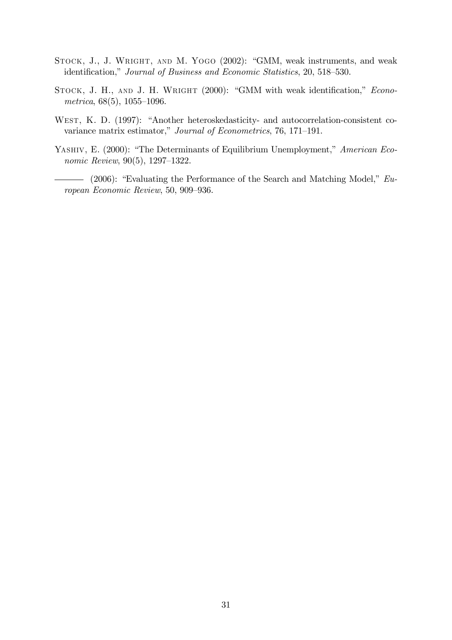- STOCK, J., J. WRIGHT, AND M. YOGO (2002): "GMM, weak instruments, and weak identification," Journal of Business and Economic Statistics, 20, 518–530.
- STOCK, J. H., AND J. H. WRIGHT (2000): "GMM with weak identification," Econometrica,  $68(5)$ ,  $1055-1096$ .
- WEST, K. D. (1997): "Another heteroskedasticity- and autocorrelation-consistent covariance matrix estimator," Journal of Econometrics, 76, 171-191.
- YASHIV, E. (2000): "The Determinants of Equilibrium Unemployment," American Economic Review,  $90(5)$ , 1297–1322.
	- $-$  (2006): "Evaluating the Performance of the Search and Matching Model,"  $Eu$ ropean Economic Review, 50, 909–936.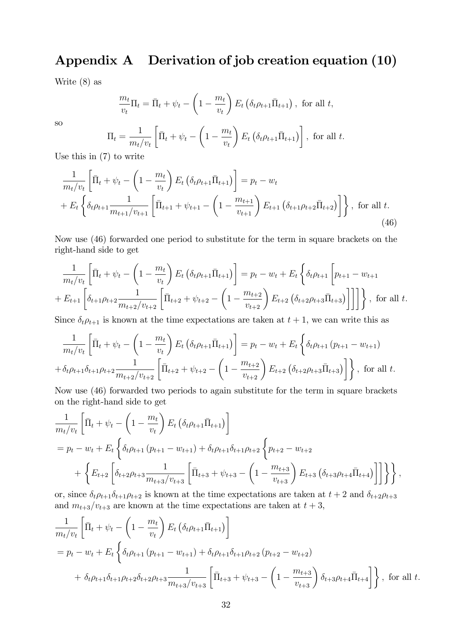## Appendix A Derivation of job creation equation (10)

Write (8) as

$$
\frac{m_t}{v_t} \Pi_t = \bar{\Pi}_t + \psi_t - \left(1 - \frac{m_t}{v_t}\right) E_t \left(\delta_t \rho_{t+1} \bar{\Pi}_{t+1}\right), \text{ for all } t,
$$

so

$$
\Pi_t = \frac{1}{m_t/v_t} \left[ \bar{\Pi}_t + \psi_t - \left( 1 - \frac{m_t}{v_t} \right) E_t \left( \delta_t \rho_{t+1} \bar{\Pi}_{t+1} \right) \right], \text{ for all } t.
$$

Use this in (7) to write

$$
\frac{1}{m_t/v_t} \left[ \bar{\Pi}_t + \psi_t - \left( 1 - \frac{m_t}{v_t} \right) E_t \left( \delta_t \rho_{t+1} \bar{\Pi}_{t+1} \right) \right] = p_t - w_t
$$
\n
$$
+ E_t \left\{ \delta_t \rho_{t+1} \frac{1}{m_{t+1}/v_{t+1}} \left[ \bar{\Pi}_{t+1} + \psi_{t+1} - \left( 1 - \frac{m_{t+1}}{v_{t+1}} \right) E_{t+1} \left( \delta_{t+1} \rho_{t+2} \bar{\Pi}_{t+2} \right) \right] \right\}, \text{ for all } t.
$$
\n(46)

Now use (46) forwarded one period to substitute for the term in square brackets on the right-hand side to get

$$
\frac{1}{m_t/v_t} \left[ \bar{\Pi}_t + \psi_t - \left( 1 - \frac{m_t}{v_t} \right) E_t \left( \delta_t \rho_{t+1} \bar{\Pi}_{t+1} \right) \right] = p_t - w_t + E_t \left\{ \delta_t \rho_{t+1} \left[ p_{t+1} - w_{t+1} \right] + E_{t+1} \left[ \delta_{t+1} \rho_{t+2} \frac{1}{m_{t+2}/v_{t+2}} \left[ \bar{\Pi}_{t+2} + \psi_{t+2} - \left( 1 - \frac{m_{t+2}}{v_{t+2}} \right) E_{t+2} \left( \delta_{t+2} \rho_{t+3} \bar{\Pi}_{t+3} \right) \right] \right] \right\}, \text{ for all } t.
$$

Since  $\delta_t \rho_{t+1}$  is known at the time expectations are taken at  $t + 1$ , we can write this as

$$
\frac{1}{m_t/v_t} \left[ \bar{\Pi}_t + \psi_t - \left( 1 - \frac{m_t}{v_t} \right) E_t \left( \delta_t \rho_{t+1} \bar{\Pi}_{t+1} \right) \right] = p_t - w_t + E_t \left\{ \delta_t \rho_{t+1} \left( p_{t+1} - w_{t+1} \right) \right\}
$$
\n
$$
+ \delta_t \rho_{t+1} \delta_{t+1} \rho_{t+2} \frac{1}{m_{t+2}/v_{t+2}} \left[ \bar{\Pi}_{t+2} + \psi_{t+2} - \left( 1 - \frac{m_{t+2}}{v_{t+2}} \right) E_{t+2} \left( \delta_{t+2} \rho_{t+3} \bar{\Pi}_{t+3} \right) \right] \right\}, \text{ for all } t.
$$

Now use (46) forwarded two periods to again substitute for the term in square brackets on the right-hand side to get

$$
\frac{1}{m_t/v_t} \left[ \bar{\Pi}_t + \psi_t - \left( 1 - \frac{m_t}{v_t} \right) E_t \left( \delta_t \rho_{t+1} \bar{\Pi}_{t+1} \right) \right]
$$
\n
$$
= p_t - w_t + E_t \left\{ \delta_t \rho_{t+1} \left( p_{t+1} - w_{t+1} \right) + \delta_t \rho_{t+1} \delta_{t+1} \rho_{t+2} \left\{ p_{t+2} - w_{t+2} \right. \right. \\
\left. + \left\{ E_{t+2} \left[ \delta_{t+2} \rho_{t+3} \frac{1}{m_{t+3}/v_{t+3}} \left[ \bar{\Pi}_{t+3} + \psi_{t+3} - \left( 1 - \frac{m_{t+3}}{v_{t+3}} \right) E_{t+3} \left( \delta_{t+3} \rho_{t+4} \bar{\Pi}_{t+4} \right) \right] \right\} \right\},
$$

or, since  $\delta_t \rho_{t+1} \delta_{t+1} \rho_{t+2}$  is known at the time expectations are taken at  $t + 2$  and  $\delta_{t+2} \rho_{t+3}$ and  $m_{t+3}/v_{t+3}$  are known at the time expectations are taken at  $t + 3$ ,

$$
\frac{1}{m_t/v_t} \left[ \bar{\Pi}_t + \psi_t - \left( 1 - \frac{m_t}{v_t} \right) E_t \left( \delta_t \rho_{t+1} \bar{\Pi}_{t+1} \right) \right]
$$
\n
$$
= p_t - w_t + E_t \left\{ \delta_t \rho_{t+1} (p_{t+1} - w_{t+1}) + \delta_t \rho_{t+1} \delta_{t+1} \rho_{t+2} (p_{t+2} - w_{t+2}) \right.
$$
\n
$$
+ \delta_t \rho_{t+1} \delta_{t+1} \rho_{t+2} \delta_{t+2} \rho_{t+3} \frac{1}{m_{t+3}/v_{t+3}} \left[ \bar{\Pi}_{t+3} + \psi_{t+3} - \left( 1 - \frac{m_{t+3}}{v_{t+3}} \right) \delta_{t+3} \rho_{t+4} \bar{\Pi}_{t+4} \right] \right\}, \text{ for all } t.
$$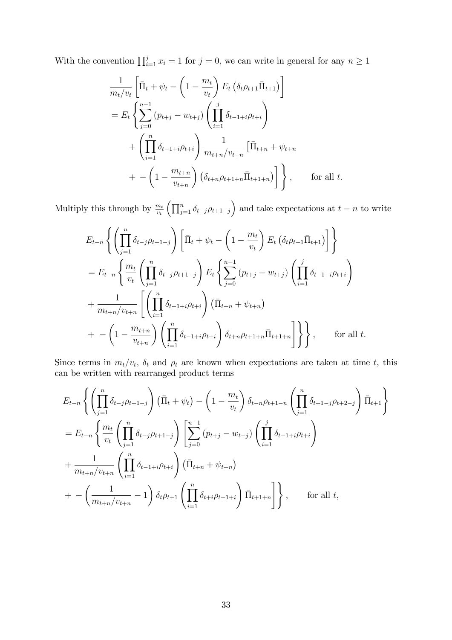With the convention  $\prod_{i=1}^{j} x_i = 1$  for  $j = 0$ , we can write in general for any  $n \ge 1$ 

$$
\frac{1}{m_t/v_t} \left[ \bar{\Pi}_t + \psi_t - \left( 1 - \frac{m_t}{v_t} \right) E_t \left( \delta_t \rho_{t+1} \bar{\Pi}_{t+1} \right) \right]
$$
\n
$$
= E_t \left\{ \sum_{j=0}^{n-1} (p_{t+j} - w_{t+j}) \left( \prod_{i=1}^j \delta_{t-1+i} \rho_{t+i} \right) + \left( \prod_{i=1}^n \delta_{t-1+i} \rho_{t+i} \right) \frac{1}{m_{t+n}/v_{t+n}} \left[ \bar{\Pi}_{t+n} + \psi_{t+n} \right. \right.
$$
\n
$$
+ - \left( 1 - \frac{m_{t+n}}{v_{t+n}} \right) \left( \delta_{t+n} \rho_{t+1+n} \bar{\Pi}_{t+1+n} \right) \right] \bigg\} , \qquad \text{for all } t.
$$

Multiply this through by  $\frac{m_t}{v_t} \left( \prod_{j=1}^n \delta_{t-j} \rho_{t+1-j} \right)$  and take expectations at  $t - n$  to write

$$
E_{t-n} \left\{ \left( \prod_{j=1}^{n} \delta_{t-j} \rho_{t+1-j} \right) \left[ \bar{\Pi}_{t} + \psi_{t} - \left( 1 - \frac{m_{t}}{v_{t}} \right) E_{t} \left( \delta_{t} \rho_{t+1} \bar{\Pi}_{t+1} \right) \right] \right\}
$$
  
\n
$$
= E_{t-n} \left\{ \frac{m_{t}}{v_{t}} \left( \prod_{j=1}^{n} \delta_{t-j} \rho_{t+1-j} \right) E_{t} \left\{ \sum_{j=0}^{n-1} (p_{t+j} - w_{t+j}) \left( \prod_{i=1}^{j} \delta_{t-1+i} \rho_{t+i} \right) \right\}
$$
  
\n
$$
+ \frac{1}{m_{t+n}/v_{t+n}} \left[ \left( \prod_{i=1}^{n} \delta_{t-1+i} \rho_{t+i} \right) \left( \bar{\Pi}_{t+n} + \psi_{t+n} \right) \right.
$$
  
\n
$$
+ - \left( 1 - \frac{m_{t+n}}{v_{t+n}} \right) \left( \prod_{i=1}^{n} \delta_{t-1+i} \rho_{t+i} \right) \delta_{t+n} \rho_{t+1+n} \bar{\Pi}_{t+1+n} \right] \right\} \right\}, \quad \text{for all } t.
$$

Since terms in  $m_t/v_t$ ,  $\delta_t$  and  $\rho_t$  are known when expectations are taken at time t, this can be written with rearranged product terms

$$
E_{t-n} \left\{ \left( \prod_{j=1}^{n} \delta_{t-j} \rho_{t+1-j} \right) (\bar{\Pi}_{t} + \psi_{t}) - \left( 1 - \frac{m_{t}}{v_{t}} \right) \delta_{t-n} \rho_{t+1-n} \left( \prod_{j=1}^{n} \delta_{t+1-j} \rho_{t+2-j} \right) \bar{\Pi}_{t+1} \right\}
$$
  
\n
$$
= E_{t-n} \left\{ \frac{m_{t}}{v_{t}} \left( \prod_{j=1}^{n} \delta_{t-j} \rho_{t+1-j} \right) \left[ \sum_{j=0}^{n-1} (p_{t+j} - w_{t+j}) \left( \prod_{i=1}^{j} \delta_{t-1+i} \rho_{t+i} \right) \right.
$$
  
\n
$$
+ \frac{1}{m_{t+n}/v_{t+n}} \left( \prod_{i=1}^{n} \delta_{t-1+i} \rho_{t+i} \right) (\bar{\Pi}_{t+n} + \psi_{t+n})
$$
  
\n
$$
+ - \left( \frac{1}{m_{t+n}/v_{t+n}} - 1 \right) \delta_{t} \rho_{t+1} \left( \prod_{i=1}^{n} \delta_{t+i} \rho_{t+1+i} \right) \bar{\Pi}_{t+1+n} \right\} , \quad \text{for all } t,
$$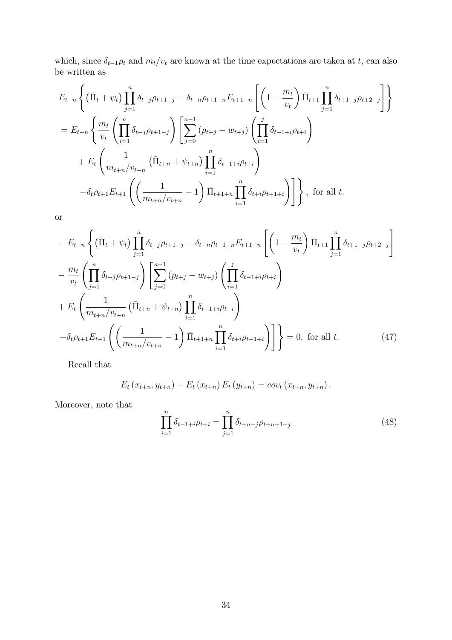which, since  $\delta_{t-1}\rho_t$  and  $m_t/v_t$  are known at the time expectations are taken at t, can also be written as

$$
E_{t-n} \left\{ (\bar{\Pi}_t + \psi_t) \prod_{j=1}^n \delta_{t-j} \rho_{t+1-j} - \delta_{t-n} \rho_{t+1-n} E_{t+1-n} \left[ \left( 1 - \frac{m_t}{v_t} \right) \bar{\Pi}_{t+1} \prod_{j=1}^n \delta_{t+1-j} \rho_{t+2-j} \right] \right\}
$$
  
\n
$$
= E_{t-n} \left\{ \frac{m_t}{v_t} \left( \prod_{j=1}^n \delta_{t-j} \rho_{t+1-j} \right) \left[ \sum_{j=0}^{n-1} (p_{t+j} - w_{t+j}) \left( \prod_{i=1}^j \delta_{t-1+i} \rho_{t+i} \right) \right. \\ \left. + E_t \left( \frac{1}{m_{t+n}/v_{t+n}} \left( \bar{\Pi}_{t+n} + \psi_{t+n} \right) \prod_{i=1}^n \delta_{t-1+i} \rho_{t+i} \right) - \delta_t \rho_{t+1} E_{t+1} \left( \left( \frac{1}{m_{t+n}/v_{t+n}} - 1 \right) \bar{\Pi}_{t+1+n} \prod_{i=1}^n \delta_{t+i} \rho_{t+1+i} \right) \right] \right\}, \text{ for all } t.
$$

or

$$
- E_{t-n} \left\{ (\bar{\Pi}_t + \psi_t) \prod_{j=1}^n \delta_{t-j} \rho_{t+1-j} - \delta_{t-n} \rho_{t+1-n} E_{t+1-n} \left[ \left( 1 - \frac{m_t}{v_t} \right) \bar{\Pi}_{t+1} \prod_{j=1}^n \delta_{t+1-j} \rho_{t+2-j} \right] - \frac{m_t}{v_t} \left( \prod_{j=1}^n \delta_{t-j} \rho_{t+1-j} \right) \left[ \sum_{j=0}^{n-1} (p_{t+j} - w_{t+j}) \left( \prod_{i=1}^j \delta_{t-1+i} \rho_{t+i} \right) + E_t \left( \frac{1}{m_{t+n}/v_{t+n}} \left( \bar{\Pi}_{t+n} + \psi_{t+n} \right) \prod_{i=1}^n \delta_{t-1+i} \rho_{t+i} \right) - \delta_t \rho_{t+1} E_{t+1} \left( \left( \frac{1}{m_{t+n}/v_{t+n}} - 1 \right) \bar{\Pi}_{t+1+n} \prod_{i=1}^n \delta_{t+i} \rho_{t+1+i} \right) \right] \} = 0, \text{ for all } t.
$$
 (47)

Recall that

$$
E_t(x_{t+n}, y_{t+n}) - E_t(x_{t+n}) E_t(y_{t+n}) = cov_t(x_{t+n}, y_{t+n}).
$$

Moreover, note that

$$
\prod_{i=1}^{n} \delta_{t-1+i} \rho_{t+i} = \prod_{j=1}^{n} \delta_{t+n-j} \rho_{t+n+1-j}
$$
\n(48)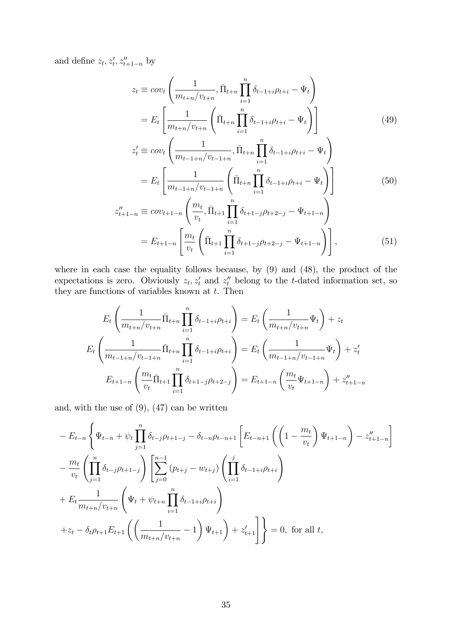and define  $z_t, z'_t, z''_{t+1-n}$  by

$$
z_{t} \equiv cov_{t} \left( \frac{1}{m_{t+n}/v_{t+n}}, \bar{\Pi}_{t+n} \prod_{i=1}^{n} \delta_{t-1+i} \rho_{t+i} - \Psi_{t} \right)
$$
  
=  $E_{t} \left[ \frac{1}{m_{t+n}/v_{t+n}} \left( \bar{\Pi}_{t+n} \prod_{i=1}^{n} \delta_{t-1+i} \rho_{t+i} - \Psi_{t} \right) \right]$  (49)

$$
z'_{t} \equiv cov_{t} \left( \frac{1}{m_{t-1+n}/v_{t-1+n}}, \bar{\Pi}_{t+n} \prod_{i=1}^{n} \delta_{t-1+i} \rho_{t+i} - \Psi_{t} \right)
$$

$$
= E_{t} \left[ \frac{1}{m_{t-1+n}/v_{t-1+n}} \left( \bar{\Pi}_{t+n} \prod_{i=1}^{n} \delta_{t-1+i} \rho_{t+i} - \Psi_{t} \right) \right]
$$
(50)

$$
z''_{t+1-n} \equiv cov_{t+1-n} \left( \frac{m_t}{v_t}, \bar{\Pi}_{t+1} \prod_{i=1}^n \delta_{t+1-j} \rho_{t+2-j} - \Psi_{t+1-n} \right)
$$
  
=  $E_{t+1-n} \left[ \frac{m_t}{v_t} \left( \bar{\Pi}_{t+1} \prod_{i=1}^n \delta_{t+1-j} \rho_{t+2-j} - \Psi_{t+1-n} \right) \right],$  (51)

where in each case the equality follows because, by (9) and (48), the product of the expectations is zero. Obviously  $z_t, z'_t$  and  $z''_t$  belong to the t-dated information set, so they are functions of variables known at  $t$ . Then

$$
E_t\left(\frac{1}{m_{t+n}/v_{t+n}}\bar{\Pi}_{t+n}\prod_{i=1}^n \delta_{t-1+i}\rho_{t+i}\right) = E_t\left(\frac{1}{m_{t+n}/v_{t+n}}\Psi_t\right) + z_t
$$
  

$$
E_t\left(\frac{1}{m_{t-1+n}/v_{t-1+n}}\bar{\Pi}_{t+n}\prod_{i=1}^n \delta_{t-1+i}\rho_{t+i}\right) = E_t\left(\frac{1}{m_{t-1+n}/v_{t-1+n}}\Psi_t\right) + z'_t
$$
  

$$
E_{t+1-n}\left(\frac{m_t}{v_t}\bar{\Pi}_{t+1}\prod_{i=1}^n \delta_{t+1-j}\rho_{t+2-j}\right) = E_{t+1-n}\left(\frac{m_t}{v_t}\Psi_{t+1-n}\right) + z''_{t+1-n}
$$

and, with the use of  $(9)$ ,  $(47)$  can be written

$$
- E_{t-n} \left\{ \Psi_{t-n} + \psi_t \prod_{j=1}^n \delta_{t-j} \rho_{t+1-j} - \delta_{t-n} \rho_{t-n+1} \left[ E_{t-n+1} \left( \left( 1 - \frac{m_t}{v_t} \right) \Psi_{t+1-n} \right) - z_{t+1-n}'' \right] \right\}
$$

$$
- \frac{m_t}{v_t} \left( \prod_{j=1}^n \delta_{t-j} \rho_{t+1-j} \right) \left[ \sum_{j=0}^{n-1} (p_{t+j} - w_{t+j}) \left( \prod_{i=1}^j \delta_{t-1+i} \rho_{t+i} \right) + E_t \frac{1}{m_{t+n}/v_{t+n}} \left( \Psi_t + \psi_{t+n} \prod_{i=1}^n \delta_{t-1+i} \rho_{t+i} \right) + z_{t+1} \left( \left( \frac{1}{m_{t+n}/v_{t+n}} - 1 \right) \Psi_{t+1} \right) + z_{t+1}' \right] \right\} = 0, \text{ for all } t,
$$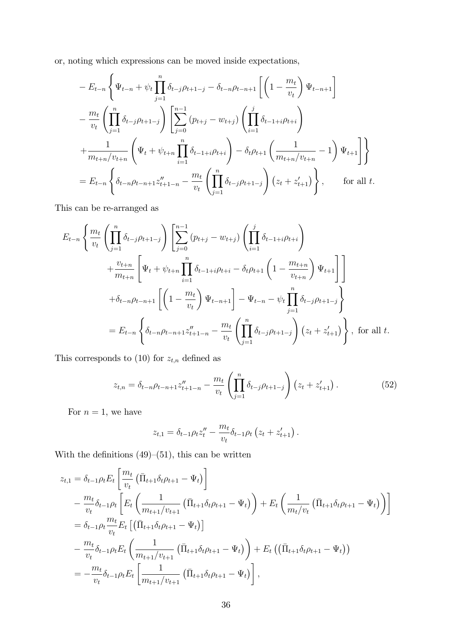or, noting which expressions can be moved inside expectations,

$$
- E_{t-n} \left\{ \Psi_{t-n} + \psi_t \prod_{j=1}^n \delta_{t-j} \rho_{t+1-j} - \delta_{t-n} \rho_{t-n+1} \left[ \left( 1 - \frac{m_t}{v_t} \right) \Psi_{t-n+1} \right] - \frac{m_t}{v_t} \left( \prod_{j=1}^n \delta_{t-j} \rho_{t+1-j} \right) \left[ \sum_{j=0}^{n-1} (p_{t+j} - w_{t+j}) \left( \prod_{i=1}^j \delta_{t-1+i} \rho_{t+i} \right) + \frac{1}{m_{t+n}/v_{t+n}} \left( \Psi_t + \psi_{t+n} \prod_{i=1}^n \delta_{t-1+i} \rho_{t+i} \right) - \delta_t \rho_{t+1} \left( \frac{1}{m_{t+n}/v_{t+n}} - 1 \right) \Psi_{t+1} \right] \right\}
$$
  
=  $E_{t-n} \left\{ \delta_{t-n} \rho_{t-n+1} z''_{t+1-n} - \frac{m_t}{v_t} \left( \prod_{j=1}^n \delta_{t-j} \rho_{t+1-j} \right) (z_t + z'_{t+1}) \right\}, \quad \text{for all } t.$ 

This can be re-arranged as

$$
E_{t-n} \left\{ \frac{m_t}{v_t} \left( \prod_{j=1}^n \delta_{t-j} \rho_{t+1-j} \right) \left[ \sum_{j=0}^{n-1} (p_{t+j} - w_{t+j}) \left( \prod_{i=1}^j \delta_{t-1+i} \rho_{t+i} \right) \right. \\ \left. + \frac{v_{t+n}}{m_{t+n}} \left[ \Psi_t + \psi_{t+n} \prod_{i=1}^n \delta_{t-1+i} \rho_{t+i} - \delta_t \rho_{t+1} \left( 1 - \frac{m_{t+n}}{v_{t+n}} \right) \Psi_{t+1} \right] \right] \\ + \delta_{t-n} \rho_{t-n+1} \left[ \left( 1 - \frac{m_t}{v_t} \right) \Psi_{t-n+1} \right] - \Psi_{t-n} - \psi_t \prod_{j=1}^n \delta_{t-j} \rho_{t+1-j} \\ = E_{t-n} \left\{ \delta_{t-n} \rho_{t-n+1} z''_{t+1-n} - \frac{m_t}{v_t} \left( \prod_{j=1}^n \delta_{t-j} \rho_{t+1-j} \right) (z_t + z'_{t+1}) \right\}, \text{ for all } t.
$$

This corresponds to (10) for  $z_{t,n}$  defined as

$$
z_{t,n} = \delta_{t-n} \rho_{t-n+1} z''_{t+1-n} - \frac{m_t}{v_t} \left( \prod_{j=1}^n \delta_{t-j} \rho_{t+1-j} \right) \left( z_t + z'_{t+1} \right). \tag{52}
$$

For  $n = 1$ , we have

$$
z_{t,1} = \delta_{t-1} \rho_t z_t'' - \frac{m_t}{v_t} \delta_{t-1} \rho_t (z_t + z_{t+1}').
$$

With the definitions  $(49)$ – $(51)$ , this can be written

$$
z_{t,1} = \delta_{t-1} \rho_t E_t \left[ \frac{m_t}{v_t} \left( \bar{\Pi}_{t+1} \delta_t \rho_{t+1} - \Psi_t \right) \right] - \frac{m_t}{v_t} \delta_{t-1} \rho_t \left[ E_t \left( \frac{1}{m_{t+1}/v_{t+1}} \left( \bar{\Pi}_{t+1} \delta_t \rho_{t+1} - \Psi_t \right) \right) + E_t \left( \frac{1}{m_t/v_t} \left( \bar{\Pi}_{t+1} \delta_t \rho_{t+1} - \Psi_t \right) \right) \right] = \delta_{t-1} \rho_t \frac{m_t}{v_t} E_t \left[ \left( \bar{\Pi}_{t+1} \delta_t \rho_{t+1} - \Psi_t \right) \right] - \frac{m_t}{v_t} \delta_{t-1} \rho_t E_t \left( \frac{1}{m_{t+1}/v_{t+1}} \left( \bar{\Pi}_{t+1} \delta_t \rho_{t+1} - \Psi_t \right) \right) + E_t \left( \left( \bar{\Pi}_{t+1} \delta_t \rho_{t+1} - \Psi_t \right) \right) = - \frac{m_t}{v_t} \delta_{t-1} \rho_t E_t \left[ \frac{1}{m_{t+1}/v_{t+1}} \left( \bar{\Pi}_{t+1} \delta_t \rho_{t+1} - \Psi_t \right) \right],
$$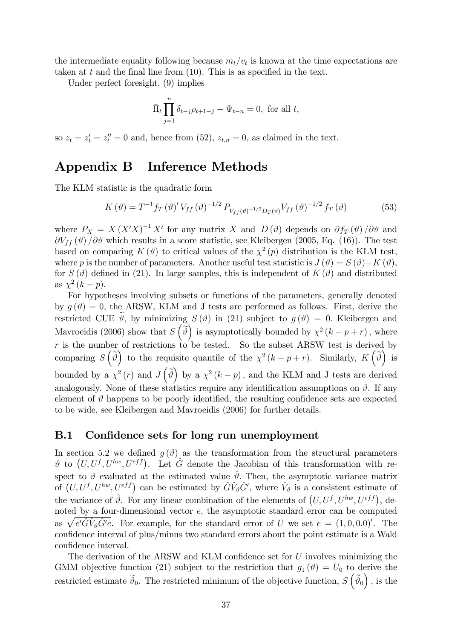the intermediate equality following because  $m_t/v_t$  is known at the time expectations are taken at t and the final line from  $(10)$ . This is as specified in the text.

Under perfect foresight, (9) implies

$$
\bar{\Pi}_t \prod_{j=1}^n \delta_{t-j} \rho_{t+1-j} - \Psi_{t-n} = 0, \text{ for all } t,
$$

so  $z_t = z_t' = z_t'' = 0$  and, hence from (52),  $z_{t,n} = 0$ , as claimed in the text.

### Appendix B Inference Methods

The KLM statistic is the quadratic form

$$
K(\vartheta) = T^{-1} f_T(\vartheta)' V_{ff}(\vartheta)^{-1/2} P_{V_{ff}(\vartheta)^{-1/2} D_T(\vartheta)} V_{ff}(\vartheta)^{-1/2} f_T(\vartheta)
$$
(53)

where  $P_X = X (X'X)^{-1} X'$  for any matrix X and  $D(\vartheta)$  depends on  $\partial f_T(\vartheta) / \partial \vartheta$  and  $\partial V_{ff} (\vartheta) / \partial \vartheta$  which results in a score statistic, see Kleibergen (2005, Eq. (16)). The test based on comparing  $K(\vartheta)$  to critical values of the  $\chi^2(p)$  distribution is the KLM test, where p is the number of parameters. Another useful test statistic is  $J(\vartheta) = S(\vartheta) - K(\vartheta)$ , for  $S(\theta)$  defined in (21). In large samples, this is independent of  $K(\theta)$  and distributed as  $\chi^2(k-p)$ .

For hypotheses involving subsets or functions of the parameters, generally denoted by  $g(\vartheta) = 0$ , the ARSW, KLM and J tests are performed as follows. First, derive the restricted CUE  $\vartheta$ , by minimizing  $S(\vartheta)$  in (21) subject to  $g(\vartheta) = 0$ . Kleibergen and Mavroeidis (2006) show that  $S\left(\tilde{\vartheta}\right)$  is asymptotically bounded by  $\chi^2(k-p+r)$ , where  $r$  is the number of restrictions to be tested. So the subset ARSW test is derived by comparing  $S(\tilde{\theta})$  to the requisite quantile of the  $\chi^2(k-p+r)$ . Similarly,  $K(\tilde{\theta})$  is bounded by a  $\chi^2(r)$  and  $J(\tilde{\vartheta})$  by a  $\chi^2(k-p)$ , and the KLM and J tests are derived analogously. None of these statistics require any identification assumptions on  $\vartheta$ . If any element of  $\vartheta$  happens to be poorly identified, the resulting confidence sets are expected to be wide, see Kleibergen and Mavroeidis (2006) for further details.

#### B.1 Confidence sets for long run unemployment

In section 5.2 we defined  $q(\theta)$  as the transformation from the structural parameters  $\vartheta$  to  $(U, U^f, U^{hw}, U^{eff})$ . Let  $\hat{G}$  denote the Jacobian of this transformation with respect to  $\vartheta$  evaluated at the estimated value  $\hat{\vartheta}$ . Then, the asymptotic variance matrix of  $(U, U^f, U^{hw}, U^{eff})$  can be estimated by  $\hat{G}\hat{V}_{\vartheta}\hat{G}'$ , where  $\hat{V}_{\vartheta}$  is a consistent estimate of the variance of  $\hat{\vartheta}$ . For any linear combination of the elements of  $(U, U^f, U^{hw}, U^{eff})$ , denoted by a four-dimensional vector  $e$ , the asymptotic standard error can be computed as  $\sqrt{e'\hat{G}\hat{V}_{\vartheta}\hat{G}'e}$ . For example, for the standard error of U we set  $e = (1, 0, 0.0)$ . The confidence interval of plus/minus two standard errors about the point estimate is a Wald confidence interval.

The derivation of the ARSW and KLM confidence set for  $U$  involves minimizing the GMM objective function (21) subject to the restriction that  $g_1(\theta) = U_0$  to derive the restricted estimate  $\tilde{\vartheta}_0$ . The restricted minimum of the objective function,  $S(\tilde{\vartheta}_0)$ , is the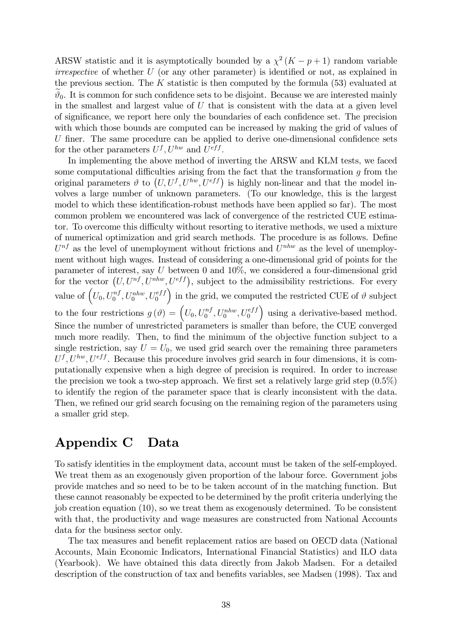ARSW statistic and it is asymptotically bounded by a  $\chi^2(K-p+1)$  random variable  $irrespective$  of whether  $U$  (or any other parameter) is identified or not, as explained in the previous section. The K statistic is then computed by the formula  $(53)$  evaluated at  $\vartheta_0$ . It is common for such confidence sets to be disjoint. Because we are interested mainly in the smallest and largest value of  $U$  that is consistent with the data at a given level of significance, we report here only the boundaries of each confidence set. The precision with which those bounds are computed can be increased by making the grid of values of  $U$  finer. The same procedure can be applied to derive one-dimensional confidence sets for the other parameters  $U^f, U^{hw}$  and  $U^{eff}$ .

In implementing the above method of inverting the ARSW and KLM tests, we faced some computational difficulties arising from the fact that the transformation  $q$  from the original parameters  $\vartheta$  to  $(U, U^f, U^{hw}, U^{eff})$  is highly non-linear and that the model involves a large number of unknown parameters. (To our knowledge, this is the largest model to which these identification-robust methods have been applied so far). The most common problem we encountered was lack of convergence of the restricted CUE estimator. To overcome this difficulty without resorting to iterative methods, we used a mixture of numerical optimization and grid search methods. The procedure is as follows. Define  $U^{nf}$  as the level of unemployment without frictions and  $U^{nhw}$  as the level of unemployment without high wages. Instead of considering a one-dimensional grid of points for the parameter of interest, say  $U$  between 0 and 10%, we considered a four-dimensional grid for the vector  $(U, U^{nf}, U^{nhw}, U^{eff})$ , subject to the admissibility restrictions. For every value of  $\left(U_0, U_0^{nf}, U_0^{nhw}, U_0^{eff}\right)$ ) in the grid, we computed the restricted CUE of  $\vartheta$  subject to the four restrictions  $g(\vartheta) = \left( U_0, U_0^{nf}, U_0^{nhw}, U_0^{eff} \right)$  using a derivative-based method. Since the number of unrestricted parameters is smaller than before, the CUE converged much more readily. Then, to find the minimum of the objective function subject to a single restriction, say  $U = U_0$ , we used grid search over the remaining three parameters  $U^f, U^{hw}, U^{eff}$ . Because this procedure involves grid search in four dimensions, it is computationally expensive when a high degree of precision is required. In order to increase the precision we took a two-step approach. We first set a relatively large grid step  $(0.5\%)$ to identify the region of the parameter space that is clearly inconsistent with the data. Then, we refined our grid search focusing on the remaining region of the parameters using a smaller grid step.

### Appendix C Data

To satisfy identities in the employment data, account must be taken of the self-employed. We treat them as an exogenously given proportion of the labour force. Government jobs provide matches and so need to be to be taken account of in the matching function. But these cannot reasonably be expected to be determined by the profit criteria underlying the job creation equation (10), so we treat them as exogenously determined. To be consistent with that, the productivity and wage measures are constructed from National Accounts data for the business sector only.

The tax measures and benefit replacement ratios are based on OECD data (National Accounts, Main Economic Indicators, International Financial Statistics) and ILO data (Yearbook). We have obtained this data directly from Jakob Madsen. For a detailed description of the construction of tax and benefits variables, see Madsen (1998). Tax and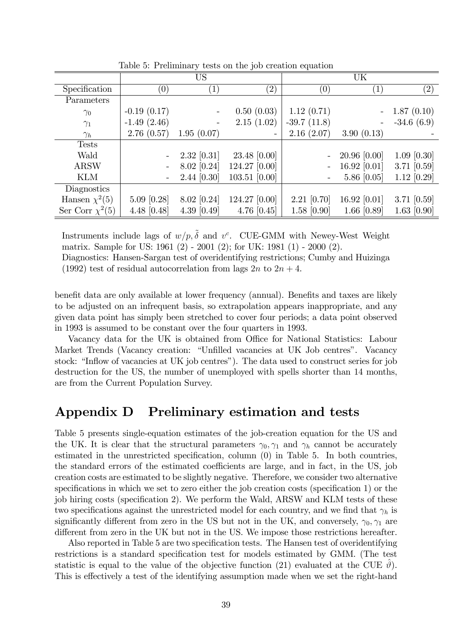|                      |                  | US                |                   |                          | UK                |                   |
|----------------------|------------------|-------------------|-------------------|--------------------------|-------------------|-------------------|
| Specification        | $\left(0\right)$ | $\left( 1\right)$ | $\left( 2\right)$ | (0)                      | $\left( 1\right)$ | $\left( 2\right)$ |
| Parameters           |                  |                   |                   |                          |                   |                   |
| $\gamma_0$           | $-0.19(0.17)$    |                   | 0.50(0.03)        | 1.12(0.71)               |                   | 1.87(0.10)        |
| $\gamma_1$           | $-1.49(2.46)$    |                   | 2.15(1.02)        | $-39.7(11.8)$            |                   | $-34.6(6.9)$      |
| $\gamma_h$           | 2.76(0.57)       | 1.95(0.07)        |                   | 2.16(2.07)               | 3.90(0.13)        |                   |
| <b>Tests</b>         |                  |                   |                   |                          |                   |                   |
| Wald                 |                  | $2.32$ [0.31]     | 23.48 [0.00]      | $\overline{a}$           | $20.96$ [0.00]    | $1.09$ [0.30]     |
| <b>ARSW</b>          |                  | 8.02 [0.24]       | 124.27 [0.00]     | $\overline{\phantom{0}}$ | 16.92 $[0.01]$    | 3.71 [0.59]       |
| <b>KLM</b>           |                  | 2.44 [0.30]       | 103.51 [0.00]     | -                        | $5.86$ [0.05]     | $1.12$ [0.29]     |
| Diagnostics          |                  |                   |                   |                          |                   |                   |
| Hansen $\chi^2(5)$   | $5.09$ [0.28]    | 8.02 [0.24]       | 124.27 [0.00]     | $2.21$ [0.70]            | 16.92 $[0.01]$    | 3.71 [0.59]       |
| Ser Corr $\chi^2(5)$ | 4.48 $[0.48]$    | $4.39$ [0.49]     | $4.76$ [0.45]     | $1.58$ [0.90]            | 1.66 $[0.89]$     | $1.63$ [0.90]     |

Table 5: Preliminary tests on the job creation equation

Instruments include lags of  $w/p, \tilde{\delta}$  and  $v^c$ . CUE-GMM with Newey-West Weight matrix. Sample for US: 1961 (2) - 2001 (2); for UK: 1981 (1) - 2000 (2). Diagnostics: Hansen-Sargan test of overidentifying restrictions; Cumby and Huizinga

(1992) test of residual autocorrelation from lags  $2n$  to  $2n + 4$ .

benefit data are only available at lower frequency (annual). Benefits and taxes are likely to be adjusted on an infrequent basis, so extrapolation appears inappropriate, and any given data point has simply been stretched to cover four periods; a data point observed in 1993 is assumed to be constant over the four quarters in 1993.

Vacancy data for the UK is obtained from Office for National Statistics: Labour Market Trends (Vacancy creation: "Unfilled vacancies at UK Job centres". Vacancy stock: "Inflow of vacancies at UK job centres"). The data used to construct series for job destruction for the US, the number of unemployed with spells shorter than 14 months, are from the Current Population Survey.

### Appendix D Preliminary estimation and tests

Table 5 presents single-equation estimates of the job-creation equation for the US and the UK. It is clear that the structural parameters  $\gamma_0, \gamma_1$  and  $\gamma_h$  cannot be accurately estimated in the unrestricted specification, column  $(0)$  in Table 5. In both countries, the standard errors of the estimated coefficients are large, and in fact, in the US, job creation costs are estimated to be slightly negative. Therefore, we consider two alternative specifications in which we set to zero either the job creation costs (specification 1) or the job hiring costs (specification 2). We perform the Wald, ARSW and KLM tests of these two specifications against the unrestricted model for each country, and we find that  $\gamma_h$  is significantly different from zero in the US but not in the UK, and conversely,  $\gamma_0, \gamma_1$  are different from zero in the UK but not in the US. We impose those restrictions hereafter.

Also reported in Table 5 are two specification tests. The Hansen test of overidentifying restrictions is a standard specification test for models estimated by GMM. (The test statistic is equal to the value of the objective function (21) evaluated at the CUE  $\vartheta$ ). This is effectively a test of the identifying assumption made when we set the right-hand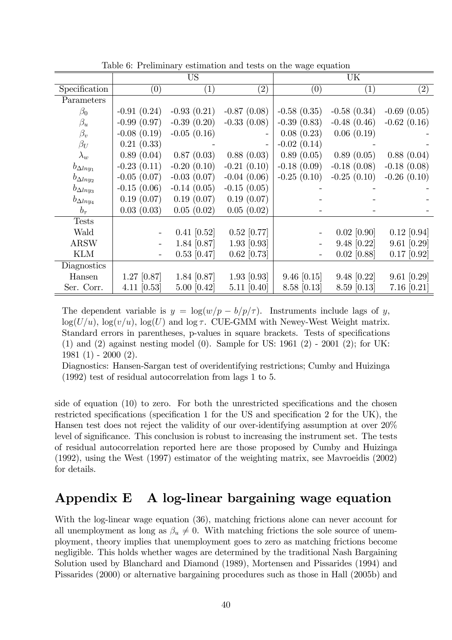|                    | <b>US</b>     |               | UK            |               |               |               |
|--------------------|---------------|---------------|---------------|---------------|---------------|---------------|
| Specification      | (0)           | (1)           | (2)           | (0)           | (1)           | (2)           |
| Parameters         |               |               |               |               |               |               |
| $\beta_0$          | $-0.91(0.24)$ | $-0.93(0.21)$ | $-0.87(0.08)$ | $-0.58(0.35)$ | $-0.58(0.34)$ | $-0.69(0.05)$ |
| $\beta_u$          | $-0.99(0.97)$ | $-0.39(0.20)$ | $-0.33(0.08)$ | $-0.39(0.83)$ | $-0.48(0.46)$ | $-0.62(0.16)$ |
| $\beta_v$          | $-0.08(0.19)$ | $-0.05(0.16)$ |               | 0.08(0.23)    | 0.06(0.19)    |               |
| $\beta_U$          | 0.21(0.33)    |               |               | $-0.02(0.14)$ |               |               |
| $\lambda_w$        | 0.89(0.04)    | 0.87(0.03)    | 0.88(0.03)    | 0.89(0.05)    | 0.89(0.05)    | 0.88(0.04)    |
| $b_{\Delta lny_1}$ | $-0.23(0.11)$ | $-0.20(0.10)$ | $-0.21(0.10)$ | $-0.18(0.09)$ | $-0.18(0.08)$ | $-0.18(0.08)$ |
| $b_{\Delta lny_2}$ | $-0.05(0.07)$ | $-0.03(0.07)$ | $-0.04(0.06)$ | $-0.25(0.10)$ | $-0.25(0.10)$ | $-0.26(0.10)$ |
| $b_{\Delta lny_3}$ | $-0.15(0.06)$ | $-0.14(0.05)$ | $-0.15(0.05)$ |               |               |               |
| $b_{\Delta lny_4}$ | 0.19(0.07)    | 0.19(0.07)    | 0.19(0.07)    |               |               |               |
| $b_{\tau}$         | 0.03(0.03)    | 0.05(0.02)    | 0.05(0.02)    |               |               |               |
| <b>Tests</b>       |               |               |               |               |               |               |
| Wald               |               | $0.41$ [0.52] | $0.52$ [0.77] |               | $0.02$ [0.90] | $0.12$ [0.94] |
| <b>ARSW</b>        |               | 1.84 [0.87]   | $1.93$ [0.93] |               | $9.48$ [0.22] | $9.61$ [0.29] |
| <b>KLM</b>         |               | $0.53$ [0.47] | $0.62$ [0.73] |               | $0.02$ [0.88] | $0.17$ [0.92] |
| Diagnostics        |               |               |               |               |               |               |
| Hansen             | $1.27$ [0.87] | 1.84 [0.87]   | $1.93$ [0.93] | $9.46$ [0.15] | $9.48$ [0.22] | $9.61$ [0.29] |
| Ser. Corr.         | 4.11 $[0.53]$ | 5.00 [0.42]   | $5.11$ [0.40] | $8.58$ [0.13] | 8.59 [0.13]   | $7.16$ [0.21] |

Table 6: Preliminary estimation and tests on the wage equation

The dependent variable is  $y = \log(w/p - b/p/\tau)$ . Instruments include lags of y,  $log(U/u)$ ,  $log(v/u)$ ,  $log(U)$  and  $log \tau$ . CUE-GMM with Newey-West Weight matrix. Standard errors in parentheses, p-values in square brackets. Tests of specifications (1) and (2) against nesting model (0). Sample for US: 1961 (2) - 2001 (2); for UK: 1981 (1) - 2000 (2).

Diagnostics: Hansen-Sargan test of overidentifying restrictions; Cumby and Huizinga (1992) test of residual autocorrelation from lags 1 to 5.

side of equation  $(10)$  to zero. For both the unrestricted specifications and the chosen restricted specifications (specification 1 for the US and specification 2 for the UK), the Hansen test does not reject the validity of our over-identifying assumption at over 20% level of significance. This conclusion is robust to increasing the instrument set. The tests of residual autocorrelation reported here are those proposed by Cumby and Huizinga (1992), using the West (1997) estimator of the weighting matrix, see Mavroeidis (2002) for details.

### Appendix E A log-linear bargaining wage equation

With the log-linear wage equation (36), matching frictions alone can never account for all unemployment as long as  $\beta_u \neq 0$ . With matching frictions the sole source of unemployment, theory implies that unemployment goes to zero as matching frictions become negligible. This holds whether wages are determined by the traditional Nash Bargaining Solution used by Blanchard and Diamond (1989), Mortensen and Pissarides (1994) and Pissarides (2000) or alternative bargaining procedures such as those in Hall (2005b) and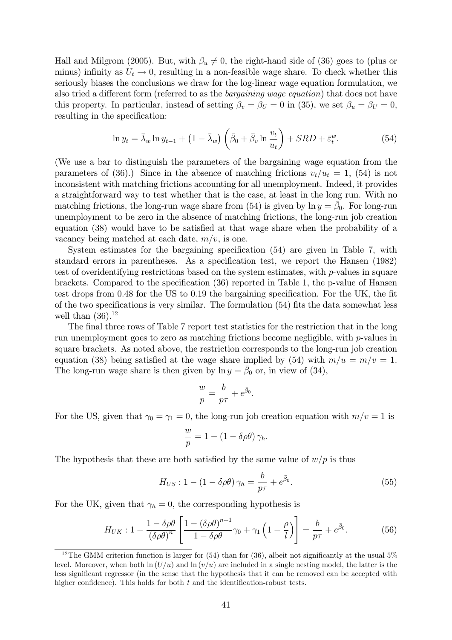Hall and Milgrom (2005). But, with  $\beta_u \neq 0$ , the right-hand side of (36) goes to (plus or minus) infinity as  $U_t \rightarrow 0$ , resulting in a non-feasible wage share. To check whether this seriously biases the conclusions we draw for the log-linear wage equation formulation, we also tried a different form (referred to as the *bargaining wage equation*) that does not have this property. In particular, instead of setting  $\beta_v = \beta_U = 0$  in (35), we set  $\beta_u = \beta_U = 0$ , resulting in the specification:

$$
\ln y_t = \bar{\lambda}_w \ln y_{t-1} + \left(1 - \bar{\lambda}_w\right) \left(\bar{\beta}_0 + \bar{\beta}_v \ln \frac{v_t}{u_t}\right) + SRD + \bar{\varepsilon}_t^w. \tag{54}
$$

(We use a bar to distinguish the parameters of the bargaining wage equation from the parameters of (36).) Since in the absence of matching frictions  $v_t/u_t=1$ , (54) is not inconsistent with matching frictions accounting for all unemployment. Indeed, it provides a straightforward way to test whether that is the case, at least in the long run. With no matching frictions, the long-run wage share from (54) is given by  $\ln y = \bar{\beta}_0$ . For long-run unemployment to be zero in the absence of matching frictions, the long-run job creation equation (38) would have to be satisfied at that wage share when the probability of a vacancy being matched at each date,  $m/v$ , is one.

System estimates for the bargaining specification  $(54)$  are given in Table 7, with standard errors in parentheses. As a specification test, we report the Hansen (1982) test of overidentifying restrictions based on the system estimates, with p-values in square brackets. Compared to the specification  $(36)$  reported in Table 1, the p-value of Hansen test drops from 0.48 for the US to 0.19 the bargaining specification. For the UK, the fit of the two specifications is very similar. The formulation  $(54)$  fits the data somewhat less well than  $(36).^{12}$ 

The final three rows of Table 7 report test statistics for the restriction that in the long run unemployment goes to zero as matching frictions become negligible, with p-values in square brackets. As noted above, the restriction corresponds to the long-run job creation equation (38) being satisfied at the wage share implied by (54) with  $m/u = m/v = 1$ . The long-run wage share is then given by  $\ln y = \bar{\beta}_0$  or, in view of (34),

$$
\frac{w}{p} = \frac{b}{p\tau} + e^{\bar{\beta}_0}.
$$

For the US, given that  $\gamma_0 = \gamma_1 = 0$ , the long-run job creation equation with  $m/v = 1$  is

$$
\frac{w}{p} = 1 - (1 - \delta \rho \theta) \gamma_h.
$$

The hypothesis that these are both satisfied by the same value of  $w/p$  is thus

$$
H_{US}: 1 - (1 - \delta \rho \theta) \gamma_h = \frac{b}{p\tau} + e^{\bar{\beta}_0}.
$$
\n
$$
(55)
$$

For the UK, given that  $\gamma_h = 0$ , the corresponding hypothesis is

$$
H_{UK}: 1 - \frac{1 - \delta \rho \theta}{\left(\delta \rho \theta\right)^n} \left[ \frac{1 - \left(\delta \rho \theta\right)^{n+1}}{1 - \delta \rho \theta} \gamma_0 + \gamma_1 \left(1 - \frac{\rho}{l}\right) \right] = \frac{b}{p\tau} + e^{\bar{\beta}_0}.
$$
 (56)

<sup>&</sup>lt;sup>12</sup>The GMM criterion function is larger for  $(54)$  than for  $(36)$ , albeit not significantly at the usual  $5\%$ level. Moreover, when both  $\ln (U/u)$  and  $\ln (v/u)$  are included in a single nesting model, the latter is the less significant regressor (in the sense that the hypothesis that it can be removed can be accepted with higher confidence). This holds for both  $t$  and the identification-robust tests.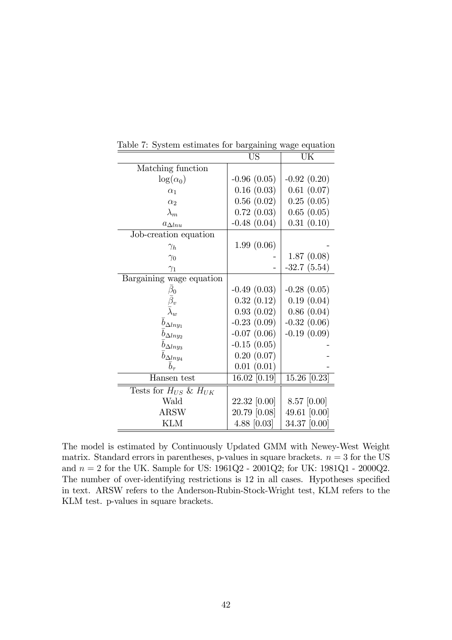|                               | US            | UK            |
|-------------------------------|---------------|---------------|
| Matching function             |               |               |
| $\log(\alpha_0)$              | $-0.96(0.05)$ | $-0.92(0.20)$ |
| $\alpha_1$                    | 0.16(0.03)    | 0.61(0.07)    |
| $\alpha_2$                    | 0.56(0.02)    | 0.25(0.05)    |
| $\lambda_m$                   | 0.72(0.03)    | 0.65(0.05)    |
| $a_{\Delta l n u}$            | $-0.48(0.04)$ | 0.31(0.10)    |
| Job-creation equation         |               |               |
| $\gamma_h$                    | 1.99(0.06)    |               |
| $\gamma_0$                    |               | 1.87(0.08)    |
| $\gamma_1$                    |               | $-32.7(5.54)$ |
| Bargaining wage equation      |               |               |
| $\beta_0$                     | $-0.49(0.03)$ | $-0.28(0.05)$ |
|                               | 0.32(0.12)    | 0.19(0.04)    |
|                               | 0.93(0.02)    | 0.86(0.04)    |
| $b_{\Delta lny_1}$            | $-0.23(0.09)$ | $-0.32(0.06)$ |
| $b_{\Delta lny_2}$            | $-0.07(0.06)$ | $-0.19(0.09)$ |
| $b_{\Delta lny_3}$            | $-0.15(0.05)$ |               |
| $b_{\Delta lny_4}$            | 0.20(0.07)    |               |
| $b_{\tau}$                    | 0.01(0.01)    |               |
| Hansen test                   | 16.02 [0.19]  | 15.26 [0.23]  |
| Tests for $H_{US}$ & $H_{UK}$ |               |               |
| Wald                          | 22.32 [0.00]  | $8.57$ [0.00] |
| <b>ARSW</b>                   | 20.79 [0.08]  | 49.61 [0.00]  |
| <b>KLM</b>                    | 4.88 $[0.03]$ | 34.37 [0.00]  |

Table 7: System estimates for bargaining wage equation

The model is estimated by Continuously Updated GMM with Newey-West Weight matrix. Standard errors in parentheses, p-values in square brackets.  $n = 3$  for the US and  $n = 2$  for the UK. Sample for US:  $1961Q2 - 2001Q2$ ; for UK:  $1981Q1 - 2000Q2$ . The number of over-identifying restrictions is 12 in all cases. Hypotheses specified in text. ARSW refers to the Anderson-Rubin-Stock-Wright test, KLM refers to the KLM test. p-values in square brackets.